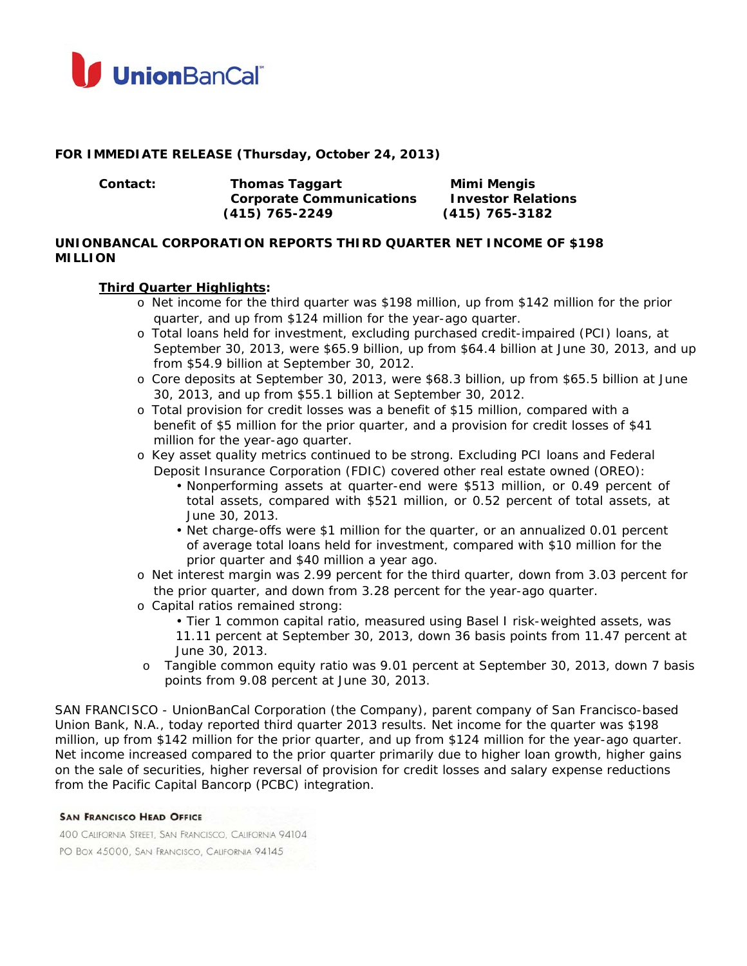

# **FOR IMMEDIATE RELEASE (Thursday, October 24, 2013)**

**Contact:** Thomas Taggart Mimi Mengis **Corporate Communications Investor Relations (415) 765-2249 (415) 765-3182** 

# **UNIONBANCAL CORPORATION REPORTS THIRD QUARTER NET INCOME OF \$198 MILLION**

# **Third Quarter Highlights:**

- o Net income for the third quarter was \$198 million, up from \$142 million for the prior quarter, and up from \$124 million for the year-ago quarter.
- o Total loans held for investment, excluding purchased credit-impaired (PCI) loans, at September 30, 2013, were \$65.9 billion, up from \$64.4 billion at June 30, 2013, and up from \$54.9 billion at September 30, 2012.
- o Core deposits at September 30, 2013, were \$68.3 billion, up from \$65.5 billion at June 30, 2013, and up from \$55.1 billion at September 30, 2012.
- o Total provision for credit losses was a benefit of \$15 million, compared with a benefit of \$5 million for the prior quarter, and a provision for credit losses of \$41 million for the year-ago quarter.
- o Key asset quality metrics continued to be strong. Excluding PCI loans and Federal Deposit Insurance Corporation (FDIC) covered other real estate owned (OREO):
	- Nonperforming assets at quarter-end were \$513 million, or 0.49 percent of total assets, compared with \$521 million, or 0.52 percent of total assets, at June 30, 2013.
	- Net charge-offs were \$1 million for the quarter, or an annualized 0.01 percent of average total loans held for investment, compared with \$10 million for the prior quarter and \$40 million a year ago.
- o Net interest margin was 2.99 percent for the third quarter, down from 3.03 percent for the prior quarter, and down from 3.28 percent for the year-ago quarter.
- o Capital ratios remained strong:
	- Tier 1 common capital ratio, measured using Basel I risk-weighted assets, was 11.11 percent at September 30, 2013, down 36 basis points from 11.47 percent at June 30, 2013.
- o Tangible common equity ratio was 9.01 percent at September 30, 2013, down 7 basis points from 9.08 percent at June 30, 2013.

SAN FRANCISCO - UnionBanCal Corporation (the Company), parent company of San Francisco-based Union Bank, N.A., today reported third quarter 2013 results. Net income for the quarter was \$198 million, up from \$142 million for the prior quarter, and up from \$124 million for the year-ago quarter. Net income increased compared to the prior quarter primarily due to higher loan growth, higher gains on the sale of securities, higher reversal of provision for credit losses and salary expense reductions from the Pacific Capital Bancorp (PCBC) integration.

## **SAN FRANCISCO HEAD OFFICE**

400 CALIFORNIA STREET, SAN FRANCISCO, CALIFORNIA 94104 PO Box 45000, SAN FRANCISCO, CALIFORNIA 94145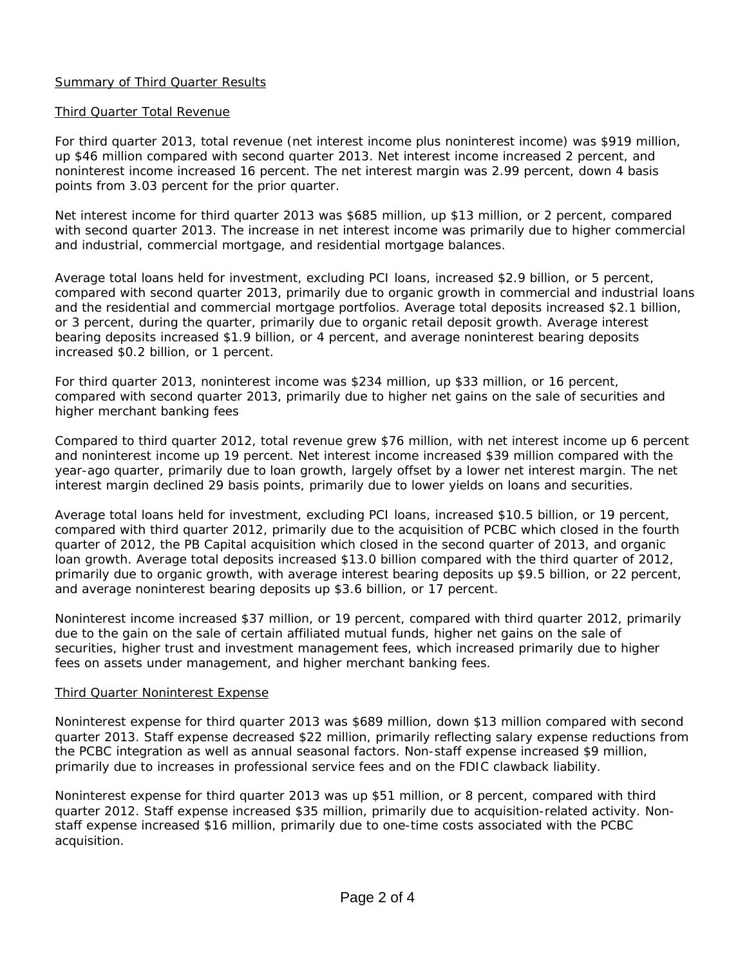# Summary of Third Quarter Results

# Third Quarter Total Revenue

For third quarter 2013, total revenue (net interest income plus noninterest income) was \$919 million, up \$46 million compared with second quarter 2013. Net interest income increased 2 percent, and noninterest income increased 16 percent. The net interest margin was 2.99 percent, down 4 basis points from 3.03 percent for the prior quarter.

Net interest income for third quarter 2013 was \$685 million, up \$13 million, or 2 percent, compared with second quarter 2013. The increase in net interest income was primarily due to higher commercial and industrial, commercial mortgage, and residential mortgage balances.

Average total loans held for investment, excluding PCI loans, increased \$2.9 billion, or 5 percent, compared with second quarter 2013, primarily due to organic growth in commercial and industrial loans and the residential and commercial mortgage portfolios. Average total deposits increased \$2.1 billion, or 3 percent, during the quarter, primarily due to organic retail deposit growth. Average interest bearing deposits increased \$1.9 billion, or 4 percent, and average noninterest bearing deposits increased \$0.2 billion, or 1 percent.

For third quarter 2013, noninterest income was \$234 million, up \$33 million, or 16 percent, compared with second quarter 2013, primarily due to higher net gains on the sale of securities and higher merchant banking fees

Compared to third quarter 2012, total revenue grew \$76 million, with net interest income up 6 percent and noninterest income up 19 percent. Net interest income increased \$39 million compared with the year-ago quarter, primarily due to loan growth, largely offset by a lower net interest margin. The net interest margin declined 29 basis points, primarily due to lower yields on loans and securities.

Average total loans held for investment, excluding PCI loans, increased \$10.5 billion, or 19 percent, compared with third quarter 2012, primarily due to the acquisition of PCBC which closed in the fourth quarter of 2012, the PB Capital acquisition which closed in the second quarter of 2013, and organic loan growth. Average total deposits increased \$13.0 billion compared with the third quarter of 2012, primarily due to organic growth, with average interest bearing deposits up \$9.5 billion, or 22 percent, and average noninterest bearing deposits up \$3.6 billion, or 17 percent.

Noninterest income increased \$37 million, or 19 percent, compared with third quarter 2012, primarily due to the gain on the sale of certain affiliated mutual funds, higher net gains on the sale of securities, higher trust and investment management fees, which increased primarily due to higher fees on assets under management, and higher merchant banking fees.

# Third Quarter Noninterest Expense

Noninterest expense for third quarter 2013 was \$689 million, down \$13 million compared with second quarter 2013. Staff expense decreased \$22 million, primarily reflecting salary expense reductions from the PCBC integration as well as annual seasonal factors. Non-staff expense increased \$9 million, primarily due to increases in professional service fees and on the FDIC clawback liability.

Noninterest expense for third quarter 2013 was up \$51 million, or 8 percent, compared with third quarter 2012. Staff expense increased \$35 million, primarily due to acquisition-related activity. Nonstaff expense increased \$16 million, primarily due to one-time costs associated with the PCBC acquisition.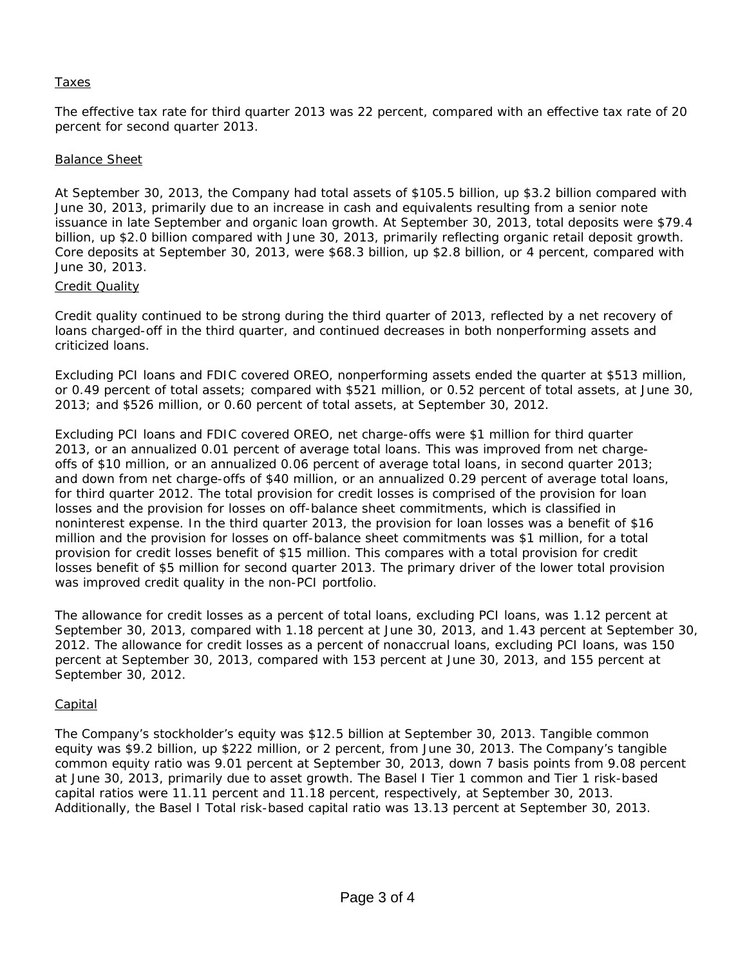# Taxes

The effective tax rate for third quarter 2013 was 22 percent, compared with an effective tax rate of 20 percent for second quarter 2013.

# Balance Sheet

At September 30, 2013, the Company had total assets of \$105.5 billion, up \$3.2 billion compared with June 30, 2013, primarily due to an increase in cash and equivalents resulting from a senior note issuance in late September and organic loan growth. At September 30, 2013, total deposits were \$79.4 billion, up \$2.0 billion compared with June 30, 2013, primarily reflecting organic retail deposit growth. Core deposits at September 30, 2013, were \$68.3 billion, up \$2.8 billion, or 4 percent, compared with June 30, 2013.

# Credit Quality

Credit quality continued to be strong during the third quarter of 2013, reflected by a net recovery of loans charged-off in the third quarter, and continued decreases in both nonperforming assets and criticized loans.

Excluding PCI loans and FDIC covered OREO, nonperforming assets ended the quarter at \$513 million, or 0.49 percent of total assets; compared with \$521 million, or 0.52 percent of total assets, at June 30, 2013; and \$526 million, or 0.60 percent of total assets, at September 30, 2012.

Excluding PCI loans and FDIC covered OREO, net charge-offs were \$1 million for third quarter 2013, or an annualized 0.01 percent of average total loans. This was improved from net chargeoffs of \$10 million, or an annualized 0.06 percent of average total loans, in second quarter 2013; and down from net charge-offs of \$40 million, or an annualized 0.29 percent of average total loans, for third quarter 2012. The total provision for credit losses is comprised of the provision for loan losses and the provision for losses on off-balance sheet commitments, which is classified in noninterest expense. In the third quarter 2013, the provision for loan losses was a benefit of \$16 million and the provision for losses on off-balance sheet commitments was \$1 million, for a total provision for credit losses benefit of \$15 million. This compares with a total provision for credit losses benefit of \$5 million for second quarter 2013. The primary driver of the lower total provision was improved credit quality in the non-PCI portfolio.

The allowance for credit losses as a percent of total loans, excluding PCI loans, was 1.12 percent at September 30, 2013, compared with 1.18 percent at June 30, 2013, and 1.43 percent at September 30, 2012. The allowance for credit losses as a percent of nonaccrual loans, excluding PCI loans, was 150 percent at September 30, 2013, compared with 153 percent at June 30, 2013, and 155 percent at September 30, 2012.

# **Capital**

The Company's stockholder's equity was \$12.5 billion at September 30, 2013. Tangible common equity was \$9.2 billion, up \$222 million, or 2 percent, from June 30, 2013. The Company's tangible common equity ratio was 9.01 percent at September 30, 2013, down 7 basis points from 9.08 percent at June 30, 2013, primarily due to asset growth. The Basel I Tier 1 common and Tier 1 risk-based capital ratios were 11.11 percent and 11.18 percent, respectively, at September 30, 2013. Additionally, the Basel I Total risk-based capital ratio was 13.13 percent at September 30, 2013.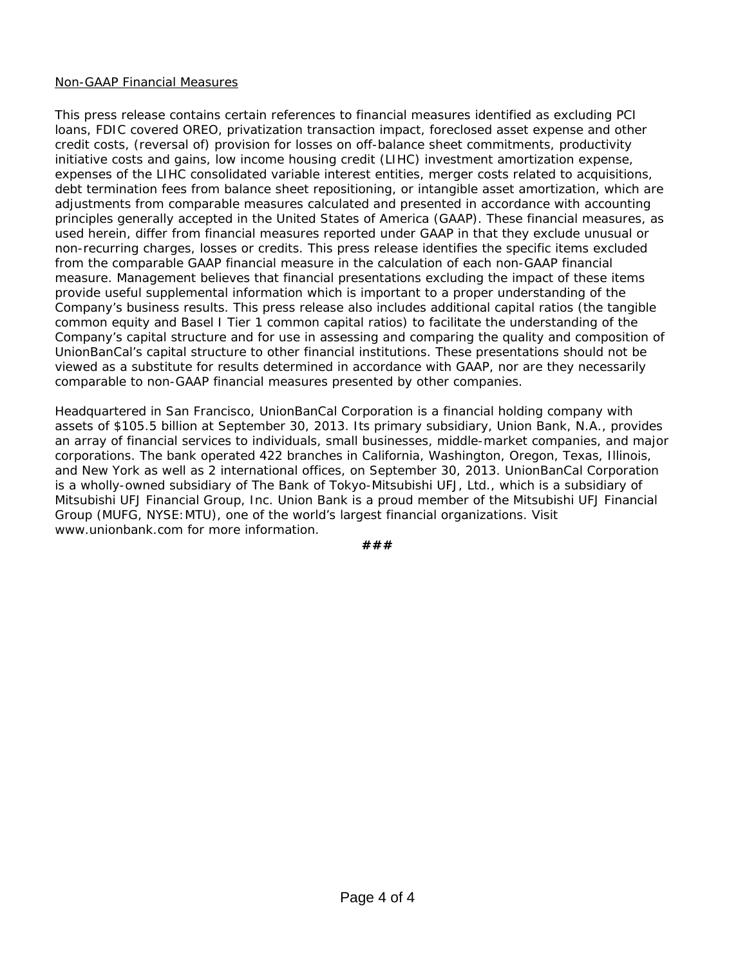# Non-GAAP Financial Measures

This press release contains certain references to financial measures identified as excluding PCI loans, FDIC covered OREO, privatization transaction impact, foreclosed asset expense and other credit costs, (reversal of) provision for losses on off-balance sheet commitments, productivity initiative costs and gains, low income housing credit (LIHC) investment amortization expense, expenses of the LIHC consolidated variable interest entities, merger costs related to acquisitions, debt termination fees from balance sheet repositioning, or intangible asset amortization, which are adjustments from comparable measures calculated and presented in accordance with accounting principles generally accepted in the United States of America (GAAP). These financial measures, as used herein, differ from financial measures reported under GAAP in that they exclude unusual or non-recurring charges, losses or credits. This press release identifies the specific items excluded from the comparable GAAP financial measure in the calculation of each non-GAAP financial measure. Management believes that financial presentations excluding the impact of these items provide useful supplemental information which is important to a proper understanding of the Company's business results. This press release also includes additional capital ratios (the tangible common equity and Basel I Tier 1 common capital ratios) to facilitate the understanding of the Company's capital structure and for use in assessing and comparing the quality and composition of UnionBanCal's capital structure to other financial institutions. These presentations should not be viewed as a substitute for results determined in accordance with GAAP, nor are they necessarily comparable to non-GAAP financial measures presented by other companies.

Headquartered in San Francisco, UnionBanCal Corporation is a financial holding company with assets of \$105.5 billion at September 30, 2013. Its primary subsidiary, Union Bank, N.A., provides an array of financial services to individuals, small businesses, middle-market companies, and major corporations. The bank operated 422 branches in California, Washington, Oregon, Texas, Illinois, and New York as well as 2 international offices, on September 30, 2013. UnionBanCal Corporation is a wholly-owned subsidiary of The Bank of Tokyo-Mitsubishi UFJ, Ltd., which is a subsidiary of Mitsubishi UFJ Financial Group, Inc. Union Bank is a proud member of the Mitsubishi UFJ Financial Group (MUFG, NYSE:MTU), one of the world's largest financial organizations. Visit www.unionbank.com for more information.

**###**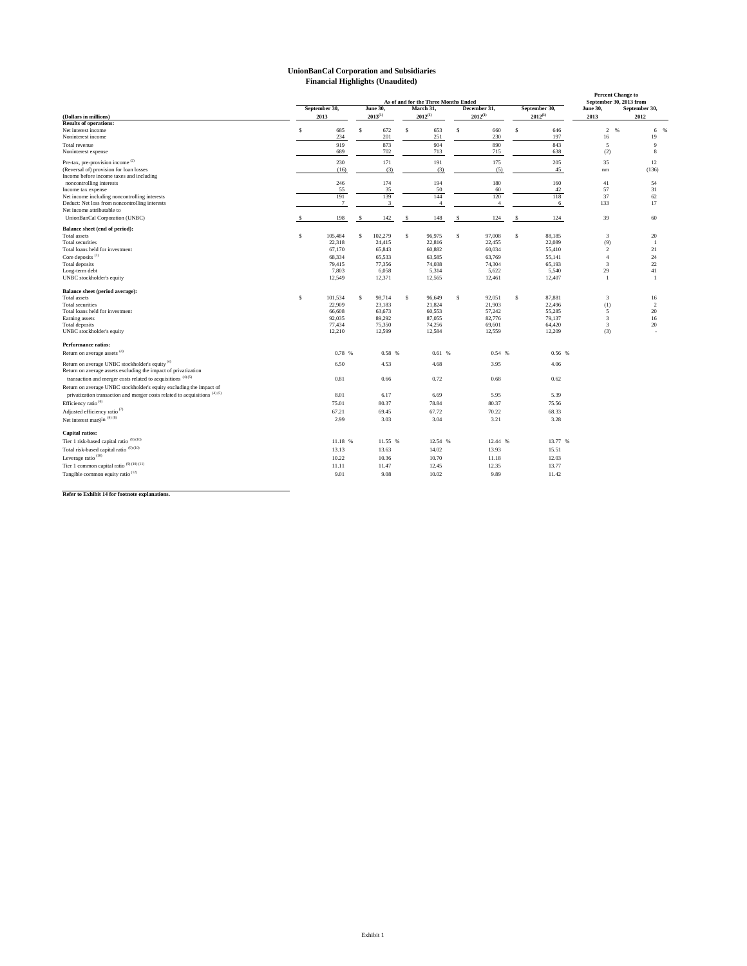#### **UnionBanCal Corporation and Subsidiaries Financial Highlights (Unaudited)**

|                                                                                      |               |                  | <b>Percent Change to</b><br>September 30, 2013 from |                  |   |                                                   |               |                  |              |                  |                                |                |  |
|--------------------------------------------------------------------------------------|---------------|------------------|-----------------------------------------------------|------------------|---|---------------------------------------------------|---------------|------------------|--------------|------------------|--------------------------------|----------------|--|
|                                                                                      |               | September 30,    |                                                     | <b>June 30.</b>  |   | As of and for the Three Months Ended<br>March 31. |               | December 31.     |              | September 30,    | <b>June 30.</b>                | September 30,  |  |
| (Dollars in millions)                                                                |               | 2013             |                                                     | $2013^{(1)}$     |   | $2012^{(1)}$                                      |               | $2012^{(1)}$     | $2012^{(1)}$ |                  | 2013                           | 2012           |  |
| <b>Results of operations:</b>                                                        |               |                  |                                                     |                  |   |                                                   |               |                  |              |                  |                                |                |  |
| Net interest income                                                                  | $\mathbbm{S}$ | 685              | s                                                   | 672              | s | 653                                               | $\mathbbm{S}$ | 660              | s            | 646              | 2 %                            | $6 - 96$       |  |
| Noninterest income                                                                   |               | 234              |                                                     | 201              |   | 251                                               |               | 230              |              | 197              | 16                             | 19             |  |
| Total revenue                                                                        |               | 919              |                                                     | 873              |   | 904                                               |               | 890              |              | 843              | 5                              | 9              |  |
| Noninterest expense                                                                  |               | 689              |                                                     | 702              |   | 713                                               |               | 715              |              | 638              | (2)                            | 8              |  |
| Pre-tax, pre-provision income <sup>(2)</sup>                                         |               | 230              |                                                     | 171              |   | 191                                               |               | 175              |              | 205              | 35                             | 12             |  |
| (Reversal of) provision for loan losses                                              |               | (16)             |                                                     | (3)              |   | (3)                                               |               | (5)              |              | 45               | nm                             | (136)          |  |
| Income before income taxes and including                                             |               |                  |                                                     |                  |   |                                                   |               |                  |              |                  |                                |                |  |
| noncontrolling interests                                                             |               | 246<br>55        |                                                     | 174<br>35        |   | 194<br>50                                         |               | 180<br>60        |              | 160<br>42        | 41<br>57                       | 54<br>31       |  |
| Income tax expense<br>Net income including noncontrolling interests                  |               | 191              |                                                     | 139              |   | 144                                               |               | 120              |              | 118              | 37                             | 62             |  |
| Deduct: Net loss from noncontrolling interests                                       |               | $\tau$           |                                                     | 3                |   | $\overline{4}$                                    |               | $\overline{4}$   |              | 6                | 133                            | 17             |  |
| Net income attributable to                                                           |               |                  |                                                     |                  |   |                                                   |               |                  |              |                  |                                |                |  |
| UnionBanCal Corporation (UNBC)                                                       |               | 198              | s                                                   | 142              | s | 148                                               | S             | 124              | s            | 124              | 39                             | 60             |  |
| Balance sheet (end of period):                                                       |               |                  |                                                     |                  |   |                                                   |               |                  |              |                  |                                |                |  |
| Total assets                                                                         | $\mathbb{S}$  | 105,484          | s                                                   | 102,279          | s | 96,975                                            | s             | 97,008           | s            | 88,185           | 3                              | 20             |  |
| Total securities                                                                     |               | 22,318           |                                                     | 24,415           |   | 22,816                                            |               | 22,455           |              | 22,089           | (9)                            | $\mathbf{1}$   |  |
| Total loans held for investment                                                      |               | 67,170           |                                                     | 65,843           |   | 60,882                                            |               | 60,034           |              | 55,410           | $\overline{2}$                 | 21             |  |
| Core deposits $(3)$                                                                  |               | 68,334           |                                                     | 65,533           |   | 63,585                                            |               | 63,769           |              | 55,141           | $\overline{4}$                 | 24             |  |
| Total deposits                                                                       |               | 79,415           |                                                     | 77,356           |   | 74,038                                            |               | 74,304           |              | 65,193           | $\overline{\mathbf{3}}$        | 22             |  |
| Long-term debt                                                                       |               | 7,803            |                                                     | 6,058            |   | 5,314                                             |               | 5,622            |              | 5,540            | 29                             | 41             |  |
| UNBC stockholder's equity                                                            |               | 12,549           |                                                     | 12,371           |   | 12,565                                            |               | 12,461           |              | 12,407           | $\overline{1}$                 | -1             |  |
| Balance sheet (period average):                                                      |               |                  |                                                     |                  |   |                                                   |               |                  |              |                  |                                |                |  |
| Total assets                                                                         | \$            | 101,534          | s                                                   | 98,714           | s | 96,649                                            | s             | 92,051           | s            | 87,881           | 3                              | 16             |  |
| Total securities                                                                     |               | 22,909           |                                                     | 23,183           |   | 21,824                                            |               | 21,903           |              | 22,496           | (1)                            | $\overline{2}$ |  |
| Total loans held for investment                                                      |               | 66,608           |                                                     | 63,673           |   | 60.553                                            |               | 57,242           |              | 55,285           | 5                              | 20             |  |
| Earning assets                                                                       |               | 92,035           |                                                     | 89,292           |   | 87,055                                            |               | 82,776           |              | 79,137           | 3                              | 16             |  |
| Total deposits                                                                       |               | 77,434<br>12.210 |                                                     | 75,350<br>12,599 |   | 74,256<br>12.584                                  |               | 69,601<br>12,559 |              | 64,420<br>12,209 | $\overline{\mathbf{3}}$<br>(3) | 20             |  |
| UNBC stockholder's equity                                                            |               |                  |                                                     |                  |   |                                                   |               |                  |              |                  |                                |                |  |
| <b>Performance ratios:</b>                                                           |               |                  |                                                     |                  |   |                                                   |               |                  |              |                  |                                |                |  |
| Return on average assets <sup>(4)</sup>                                              |               | 0.78%            |                                                     | 0.58 %           |   | 0.61%                                             |               | 0.54 %           |              | 0.56 %           |                                |                |  |
| Return on average UNBC stockholder's equity <sup>(4)</sup>                           |               | 6.50             |                                                     | 4.53             |   | 4.68                                              |               | 3.95             |              | 4.06             |                                |                |  |
| Return on average assets excluding the impact of privatization                       |               |                  |                                                     |                  |   |                                                   |               |                  |              |                  |                                |                |  |
| transaction and merger costs related to acquisitions <sup>(4)(5)</sup>               |               | 0.81             |                                                     | 0.66             |   | 0.72                                              |               | 0.68             |              | 0.62             |                                |                |  |
| Return on average UNBC stockholder's equity excluding the impact of                  |               |                  |                                                     |                  |   |                                                   |               |                  |              |                  |                                |                |  |
| privatization transaction and merger costs related to acquisitions <sup>(4)(5)</sup> |               | 8.01             |                                                     | 6.17             |   | 6.69                                              |               | 5.95             |              | 5.39             |                                |                |  |
| Efficiency ratio <sup>(6)</sup>                                                      |               | 75.01            |                                                     | 80.37            |   | 78.84                                             |               | 80.37            |              | 75.56            |                                |                |  |
| Adjusted efficiency ratio <sup>(7)</sup>                                             |               | 67.21            |                                                     | 69.45            |   | 67.72                                             |               | 70.22            |              | 68.33            |                                |                |  |
| Net interest margin $(4)(8)$                                                         |               | 2.99             |                                                     | 3.03             |   | 3.04                                              |               | 3.21             |              | 3.28             |                                |                |  |
|                                                                                      |               |                  |                                                     |                  |   |                                                   |               |                  |              |                  |                                |                |  |
| Capital ratios:                                                                      |               |                  |                                                     |                  |   |                                                   |               |                  |              |                  |                                |                |  |
| Tier 1 risk-based capital ratio <sup>(9)(10)</sup>                                   |               | 11.18 %          |                                                     | 11.55 %          |   | 12.54 %                                           |               | 12.44 %          |              | 13.77 %          |                                |                |  |
| Total risk-based capital ratio <sup>(9)(10)</sup>                                    |               | 13.13            |                                                     | 13.63            |   | 14.02                                             |               | 13.93            |              | 15.51            |                                |                |  |
| Leverage ratio $(10)$                                                                |               | 10.22            |                                                     | 10.36            |   | 10.70                                             |               | 11.18            |              | 12.03            |                                |                |  |
| Tier 1 common capital ratio $(9)(10)(11)$                                            |               | 11.11            |                                                     | 11.47            |   | 12.45                                             |               | 12.35            |              | 13.77            |                                |                |  |
| Tangible common equity ratio <sup>(12)</sup>                                         |               | 9.01             |                                                     | 9.08             |   | 10.02                                             |               | 9.89             |              | 11.42            |                                |                |  |
|                                                                                      |               |                  |                                                     |                  |   |                                                   |               |                  |              |                  |                                |                |  |
|                                                                                      |               |                  |                                                     |                  |   |                                                   |               |                  |              |                  |                                |                |  |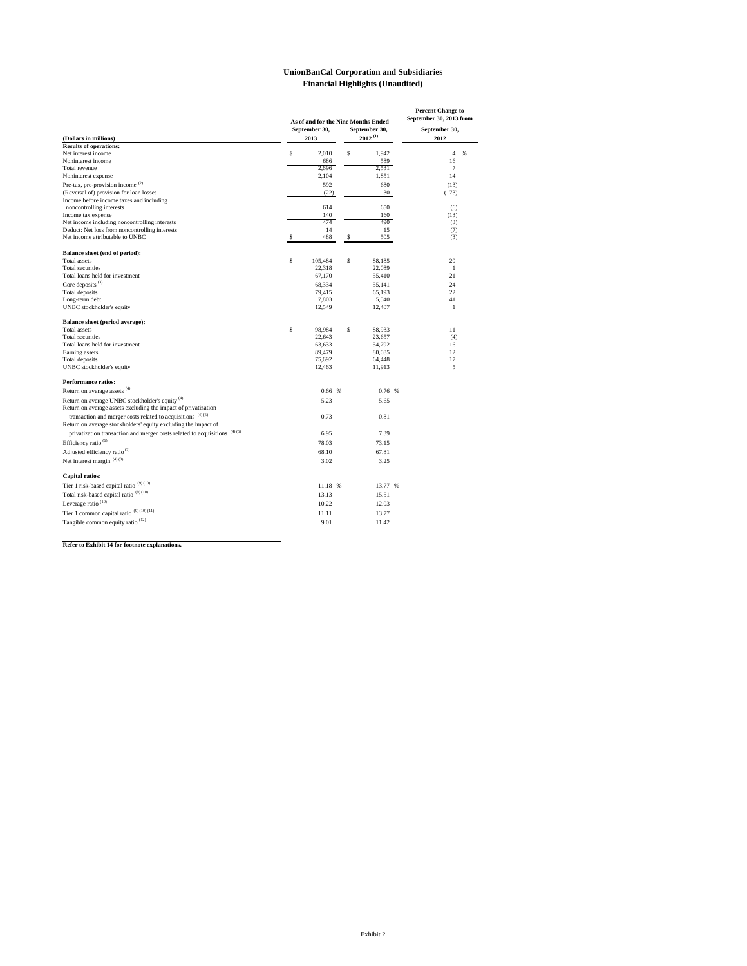#### **UnionBanCal Corporation and Subsidiaries Financial Highlights (Unaudited)**

|                                                                           |   | As of and for the Nine Months Ended | <b>Percent Change to</b><br>September 30, 2013 from |                                  |
|---------------------------------------------------------------------------|---|-------------------------------------|-----------------------------------------------------|----------------------------------|
|                                                                           |   | September 30,                       | September 30,                                       | September 30,                    |
| (Dollars in millions)                                                     |   | 2013                                | $2012^{(1)}$                                        | 2012                             |
| <b>Results of operations:</b>                                             |   |                                     |                                                     |                                  |
| Net interest income                                                       | S | 2,010                               | \$<br>1,942                                         | $\frac{96}{6}$<br>$\overline{4}$ |
| Noninterest income                                                        |   | 686                                 | 589                                                 | 16                               |
| Total revenue                                                             |   | 2.696                               | 2,531                                               | $\overline{7}$                   |
| Noninterest expense                                                       |   | 2,104                               | 1,851                                               | 14                               |
| Pre-tax, pre-provision income <sup>(2)</sup>                              |   | 592                                 | 680                                                 | (13)                             |
| (Reversal of) provision for loan losses                                   |   | (22)                                | 30                                                  | (173)                            |
| Income before income taxes and including                                  |   |                                     |                                                     |                                  |
| noncontrolling interests                                                  |   | 614                                 | 650                                                 | (6)                              |
| Income tax expense                                                        |   | 140                                 | 160                                                 | (13)                             |
| Net income including noncontrolling interests                             |   | 474                                 | 490                                                 | (3)                              |
| Deduct: Net loss from noncontrolling interests                            |   | 14                                  | 15                                                  | (7)                              |
| Net income attributable to UNBC                                           | S | 488                                 | \$<br>505                                           | (3)                              |
| Balance sheet (end of period):                                            |   |                                     |                                                     |                                  |
| <b>Total</b> assets                                                       | S | 105,484                             | \$<br>88,185                                        | 20                               |
| <b>Total securities</b>                                                   |   | 22.318                              | 22.089                                              | 1                                |
| Total loans held for investment                                           |   | 67,170                              | 55,410                                              | 21                               |
|                                                                           |   |                                     |                                                     |                                  |
| Core deposits <sup>(3)</sup>                                              |   | 68,334                              | 55,141                                              | 24                               |
| <b>Total deposits</b>                                                     |   | 79.415                              | 65,193                                              | 22<br>41                         |
| Long-term debt<br>UNBC stockholder's equity                               |   | 7,803<br>12,549                     | 5,540<br>12,407                                     | 1                                |
|                                                                           |   |                                     |                                                     |                                  |
| Balance sheet (period average):                                           |   |                                     |                                                     |                                  |
| <b>Total</b> assets                                                       | S | 98,984                              | \$<br>88,933                                        | 11                               |
| Total securities                                                          |   | 22,643                              | 23,657                                              | (4)                              |
| Total loans held for investment                                           |   | 63,633                              | 54,792                                              | 16                               |
| Earning assets                                                            |   | 89,479                              | 80,085                                              | 12                               |
| Total deposits                                                            |   | 75,692                              | 64,448                                              | 17                               |
| UNBC stockholder's equity                                                 |   | 12,463                              | 11,913                                              | 5                                |
| <b>Performance ratios:</b>                                                |   |                                     |                                                     |                                  |
| Return on average assets <sup>(4)</sup>                                   |   | 0.66%                               | 0.76 %                                              |                                  |
| Return on average UNBC stockholder's equity <sup>(4)</sup>                |   | 5.23                                | 5.65                                                |                                  |
| Return on average assets excluding the impact of privatization            |   |                                     |                                                     |                                  |
| transaction and merger costs related to acquisitions (4)(5)               |   | 0.73                                | 0.81                                                |                                  |
| Return on average stockholders' equity excluding the impact of            |   |                                     |                                                     |                                  |
| privatization transaction and merger costs related to acquisitions (4)(5) |   | 6.95                                | 7.39                                                |                                  |
|                                                                           |   |                                     |                                                     |                                  |
| Efficiency ratio <sup>(6)</sup>                                           |   | 78.03                               | 73.15                                               |                                  |
| Adjusted efficiency ratio <sup>(7)</sup>                                  |   | 68.10                               | 67.81                                               |                                  |
| Net interest margin (4) (8)                                               |   | 3.02                                | 3.25                                                |                                  |
| <b>Capital ratios:</b>                                                    |   |                                     |                                                     |                                  |
| Tier 1 risk-based capital ratio <sup>(9)(10)</sup>                        |   | 11.18 %                             | 13.77 %                                             |                                  |
| Total risk-based capital ratio <sup>(9)(10)</sup>                         |   | 13.13                               | 15.51                                               |                                  |
|                                                                           |   |                                     |                                                     |                                  |
| Leverage ratio <sup>(10)</sup>                                            |   | 10.22                               | 12.03                                               |                                  |
| Tier 1 common capital ratio $(9)$ (10) (11)                               |   | 11.11                               | 13.77                                               |                                  |
| Tangible common equity ratio (12)                                         |   | 9.01                                | 11.42                                               |                                  |
|                                                                           |   |                                     |                                                     |                                  |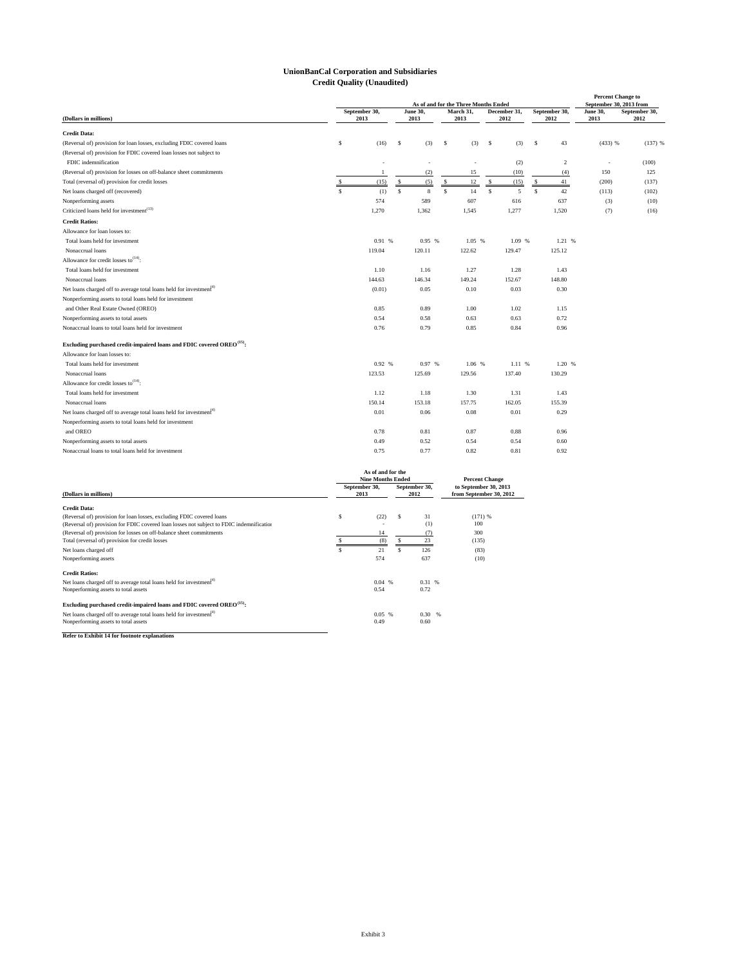#### **UnionBanCal Corporation and Subsidiaries Credit Quality (Unaudited)**

|                                                                                   |     | As of and for the Three Months Ended |    |                         |     |                   |              |                      |                    |                       |                         |                                                  |
|-----------------------------------------------------------------------------------|-----|--------------------------------------|----|-------------------------|-----|-------------------|--------------|----------------------|--------------------|-----------------------|-------------------------|--------------------------------------------------|
| (Dollars in millions)                                                             |     | September 30,<br>2013                |    | <b>June 30,</b><br>2013 |     | March 31,<br>2013 |              | December 31,<br>2012 |                    | September 30,<br>2012 | <b>June 30,</b><br>2013 | September 30, 2013 from<br>September 30,<br>2012 |
| <b>Credit Data:</b>                                                               |     |                                      |    |                         |     |                   |              |                      |                    |                       |                         |                                                  |
| (Reversal of) provision for loan losses, excluding FDIC covered loans             | s   | (16)                                 | -S | (3)                     | Ŝ.  | (3)               | $\mathbf{s}$ | (3)                  | -S                 | 43                    | $(433)$ %               | $(137)$ %                                        |
| (Reversal of) provision for FDIC covered loan losses not subject to               |     |                                      |    |                         |     |                   |              |                      |                    |                       |                         |                                                  |
| FDIC indemnification                                                              |     |                                      |    |                         |     |                   |              | (2)                  |                    | $\overline{2}$        | ٠                       | (100)                                            |
| (Reversal of) provision for losses on off-balance sheet commitments               |     |                                      |    | (2)                     |     | 15                |              | (10)                 |                    | (4)                   | 150                     | 125                                              |
| Total (reversal of) provision for credit losses                                   | Ŝ.  | (15)                                 | \$ | (5)                     | Ŝ.  | 12                | \$           | (15)                 | s                  | 41                    | (200)                   | (137)                                            |
| Net loans charged off (recovered)                                                 | \$. | (1)                                  | s  | $\bf 8$                 | \$. | 14                | \$           | 5                    | $\hat{\mathbf{s}}$ | 42                    | (113)                   | (102)                                            |
| Nonperforming assets                                                              |     | 574                                  |    | 589                     |     | 607               |              | 616                  |                    | 637                   | (3)                     | (10)                                             |
| Criticized loans held for investment <sup>(13)</sup>                              |     | 1,270                                |    | 1,362                   |     | 1,545             |              | 1.277                |                    | 1,520                 | (7)                     | (16)                                             |
| <b>Credit Ratios:</b>                                                             |     |                                      |    |                         |     |                   |              |                      |                    |                       |                         |                                                  |
| Allowance for loan losses to:                                                     |     |                                      |    |                         |     |                   |              |                      |                    |                       |                         |                                                  |
| Total loans held for investment                                                   |     | 0.91%                                |    | 0.95%                   |     | 1.05 %            |              | 1.09 %               |                    | 1.21%                 |                         |                                                  |
| Nonaccrual loans                                                                  |     | 119.04                               |    | 120.11                  |     | 122.62            |              | 129.47               |                    | 125.12                |                         |                                                  |
| Allowance for credit losses to $(14)$ :                                           |     |                                      |    |                         |     |                   |              |                      |                    |                       |                         |                                                  |
| Total loans held for investment                                                   |     | 1.10                                 |    | 1.16                    |     | 1.27              |              | 1.28                 |                    | 1.43                  |                         |                                                  |
| Nonaccrual loans                                                                  |     | 144.63                               |    | 146.34                  |     | 149.24            |              | 152.67               |                    | 148.80                |                         |                                                  |
| Net loans charged off to average total loans held for investment <sup>4)</sup>    |     | (0.01)                               |    | 0.05                    |     | 0.10              |              | 0.03                 |                    | 0.30                  |                         |                                                  |
| Nonperforming assets to total loans held for investment                           |     |                                      |    |                         |     |                   |              |                      |                    |                       |                         |                                                  |
| and Other Real Estate Owned (OREO)                                                |     | 0.85                                 |    | 0.89                    |     | 1.00              |              | 1.02                 |                    | 1.15                  |                         |                                                  |
| Nonperforming assets to total assets                                              |     | 0.54                                 |    | 0.58                    |     | 0.63              |              | 0.63                 |                    | 0.72                  |                         |                                                  |
| Nonaccrual loans to total loans held for investment                               |     | 0.76                                 |    | 0.79                    |     | 0.85              |              | 0.84                 |                    | 0.96                  |                         |                                                  |
| Excluding purchased credit-impaired loans and FDIC covered OREO <sup>(15)</sup> : |     |                                      |    |                         |     |                   |              |                      |                    |                       |                         |                                                  |
| Allowance for loan losses to:                                                     |     |                                      |    |                         |     |                   |              |                      |                    |                       |                         |                                                  |
| Total loans held for investment                                                   |     | 0.92%                                |    | 0.97 %                  |     | 1.06 %            |              | 1.11 %               |                    | 1.20 %                |                         |                                                  |
| Nonaccrual loans                                                                  |     | 123.53                               |    | 125.69                  |     | 129.56            |              | 137.40               |                    | 130.29                |                         |                                                  |
| Allowance for credit losses to <sup>(14)</sup> :                                  |     |                                      |    |                         |     |                   |              |                      |                    |                       |                         |                                                  |
| Total loans held for investment                                                   |     | 1.12                                 |    | 1.18                    |     | 1.30              |              | 1.31                 |                    | 1.43                  |                         |                                                  |
| Nonaccrual loans                                                                  |     | 150.14                               |    | 153.18                  |     | 157.75            |              | 162.05               |                    | 155.39                |                         |                                                  |
| Net loans charged off to average total loans held for investment <sup>4)</sup>    |     | 0.01                                 |    | 0.06                    |     | 0.08              |              | 0.01                 |                    | 0.29                  |                         |                                                  |
| Nonperforming assets to total loans held for investment                           |     |                                      |    |                         |     |                   |              |                      |                    |                       |                         |                                                  |
| and OREO                                                                          |     | 0.78                                 |    | 0.81                    |     | 0.87              |              | 0.88                 |                    | 0.96                  |                         |                                                  |
| Nonperforming assets to total assets                                              |     | 0.49                                 |    | 0.52                    |     | 0.54              |              | 0.54                 |                    | 0.60                  |                         |                                                  |
| Nonaccrual loans to total loans held for investment                               |     | 0.75                                 |    | 0.77                    |     | 0.82              |              | 0.81                 |                    | 0.92                  |                         |                                                  |

|                                                                                          |                       | <b>Nine Months Ended</b> | <b>Percent Change</b> |                       |                                                  |
|------------------------------------------------------------------------------------------|-----------------------|--------------------------|-----------------------|-----------------------|--------------------------------------------------|
| (Dollars in millions)                                                                    | September 30,<br>2013 |                          |                       | September 30,<br>2012 | to September 30, 2013<br>from September 30, 2012 |
| <b>Credit Data:</b>                                                                      |                       |                          |                       |                       |                                                  |
| (Reversal of) provision for loan losses, excluding FDIC covered loans                    | Ś                     | (22)                     | s                     | 31                    | $(171)$ %                                        |
| (Reversal of) provision for FDIC covered loan losses not subject to FDIC indemnification |                       |                          |                       | (1)                   | 100                                              |
| (Reversal of) provision for losses on off-balance sheet commitments                      |                       | 14                       |                       | (7)                   | 300                                              |
| Total (reversal of) provision for credit losses                                          |                       | (8)                      |                       | 23                    | (135)                                            |
| Net loans charged off                                                                    |                       | 21                       |                       | 126                   | (83)                                             |
| Nonperforming assets                                                                     |                       | 574                      |                       | 637                   | (10)                                             |
| <b>Credit Ratios:</b>                                                                    |                       |                          |                       |                       |                                                  |
| Net loans charged off to average total loans held for investment <sup>4)</sup>           |                       | 0.04%                    |                       | 0.31 %                |                                                  |
| Nonperforming assets to total assets                                                     |                       | 0.54                     |                       | 0.72                  |                                                  |
| Excluding purchased credit-impaired loans and FDIC covered OREO <sup>(15)</sup> :        |                       |                          |                       |                       |                                                  |
| Net loans charged off to average total loans held for investment <sup>4)</sup>           |                       | 0.05%                    |                       | 0.30%                 |                                                  |
| Nonperforming assets to total assets                                                     |                       | 0.49                     |                       | 0.60                  |                                                  |
|                                                                                          |                       |                          |                       |                       |                                                  |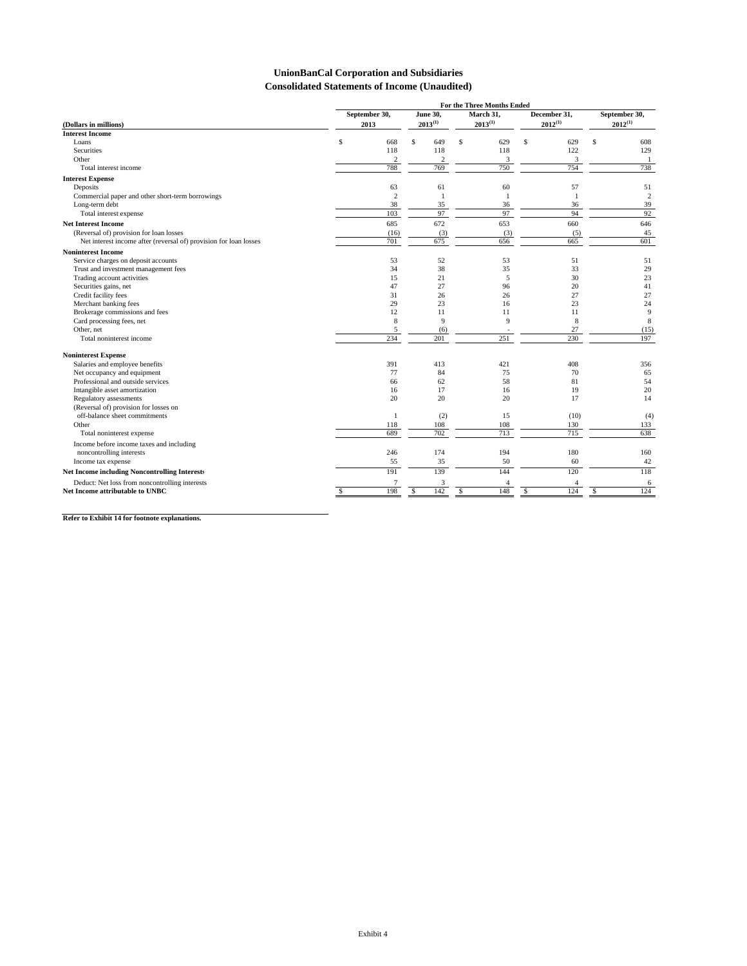| <b>UnionBanCal Corporation and Subsidiaries</b>      |
|------------------------------------------------------|
| <b>Consolidated Statements of Income (Unaudited)</b> |

|                                                                   |   | For the Three Months Ended |                 |                |    |                |              |                |              |               |  |
|-------------------------------------------------------------------|---|----------------------------|-----------------|----------------|----|----------------|--------------|----------------|--------------|---------------|--|
|                                                                   |   | September 30,              | <b>June 30,</b> |                |    | March 31.      |              | December 31,   |              | September 30, |  |
| (Dollars in millions)                                             |   | 2013                       |                 | $2013^{(1)}$   |    | $2013^{(1)}$   | $2012^{(1)}$ |                | $2012^{(1)}$ |               |  |
| <b>Interest Income</b>                                            |   |                            |                 |                |    |                |              |                |              |               |  |
| Loans                                                             | Ŝ | 668                        | $\mathsf{s}$    | 649            | \$ | 629            | s            | 629            | \$           | 608           |  |
| Securities                                                        |   | 118                        |                 | 118            |    | 118            |              | 122            |              | 129           |  |
| Other                                                             |   | $\overline{c}$             |                 | $\overline{c}$ |    | 3              |              | 3              |              | -1            |  |
| Total interest income                                             |   | 788                        |                 | 769            |    | 750            |              | 754            |              | 738           |  |
| <b>Interest Expense</b>                                           |   |                            |                 |                |    |                |              |                |              |               |  |
| Deposits                                                          |   | 63                         |                 | 61             |    | 60             |              | 57             |              | 51            |  |
| Commercial paper and other short-term borrowings                  |   | $\sqrt{2}$                 |                 | -1             |    | -1             |              | $\mathbf{1}$   |              | $\mathbf{2}$  |  |
| Long-term debt                                                    |   | 38                         |                 | 35             |    | 36             |              | 36             |              | 39            |  |
| Total interest expense                                            |   | 103                        |                 | 97             |    | 97             |              | 94             |              | 92            |  |
| <b>Net Interest Income</b>                                        |   | 685                        |                 | 672            |    | 653            |              | 660            |              | 646           |  |
| (Reversal of) provision for loan losses                           |   | (16)                       |                 | (3)            |    | (3)            |              | (5)            |              | 45            |  |
| Net interest income after (reversal of) provision for loan losses |   | 701                        |                 | 675            |    | 656            |              | 665            |              | 601           |  |
| <b>Noninterest Income</b>                                         |   |                            |                 |                |    |                |              |                |              |               |  |
| Service charges on deposit accounts                               |   | 53                         |                 | 52             |    | 53             |              | 51             |              | 51            |  |
| Trust and investment management fees                              |   | 34                         |                 | 38             |    | 35             |              | 33             |              | 29            |  |
| Trading account activities                                        |   | 15                         |                 | 21             |    | 5              |              | 30             |              | 23            |  |
| Securities gains, net                                             |   | 47                         |                 | 27             |    | 96             |              | 20             |              | 41            |  |
| Credit facility fees                                              |   | 31                         |                 | 26             |    | 26             |              | 27             |              | 27            |  |
| Merchant banking fees                                             |   | 29                         |                 | 23             |    | 16             |              | 23             |              | 24            |  |
| Brokerage commissions and fees                                    |   | 12                         |                 | 11             |    | 11             |              | 11             |              | 9             |  |
| Card processing fees, net                                         |   | 8                          |                 | 9              |    | 9              |              | 8              |              | 8             |  |
| Other, net                                                        |   | 5                          |                 | (6)            |    |                |              | 27             |              | (15)          |  |
| Total noninterest income                                          |   | 234                        |                 | 201            |    | 251            |              | 230            |              | 197           |  |
| <b>Noninterest Expense</b>                                        |   |                            |                 |                |    |                |              |                |              |               |  |
| Salaries and employee benefits                                    |   | 391                        |                 | 413            |    | 421            |              | 408            |              | 356           |  |
| Net occupancy and equipment                                       |   | 77                         |                 | 84             |    | 75             |              | 70             |              | 65            |  |
| Professional and outside services                                 |   | 66                         |                 | 62             |    | 58             |              | 81             |              | 54            |  |
| Intangible asset amortization                                     |   | 16                         |                 | 17             |    | 16             |              | 19             |              | 20            |  |
| Regulatory assessments                                            |   | 20                         |                 | 20             |    | 20             |              | 17             |              | 14            |  |
| (Reversal of) provision for losses on                             |   |                            |                 |                |    |                |              |                |              |               |  |
| off-balance sheet commitments                                     |   | $\mathbf{1}$               |                 | (2)            |    | 15             |              | (10)           |              | (4)           |  |
| Other                                                             |   | 118                        |                 | 108            |    | 108            |              | 130            |              | 133           |  |
| Total noninterest expense                                         |   | 689                        |                 | 702            |    | 713            |              | 715            |              | 638           |  |
| Income before income taxes and including                          |   |                            |                 |                |    |                |              |                |              |               |  |
| noncontrolling interests                                          |   | 246                        |                 | 174            |    | 194            |              | 180            |              | 160           |  |
| Income tax expense                                                |   | 55                         |                 | 35             |    | 50             |              | 60             |              | 42            |  |
| <b>Net Income including Noncontrolling Interests</b>              |   | 191                        |                 | 139            |    | 144            |              | 120            |              | 118           |  |
| Deduct: Net loss from noncontrolling interests                    |   | 7                          |                 | 3              |    | $\overline{4}$ |              | $\overline{4}$ |              | 6             |  |
| <b>Net Income attributable to UNBC</b>                            |   | 198                        | \$.             | 142            | \$ | 148            | \$           | 124            | \$           | 124           |  |
|                                                                   |   |                            |                 |                |    |                |              |                |              |               |  |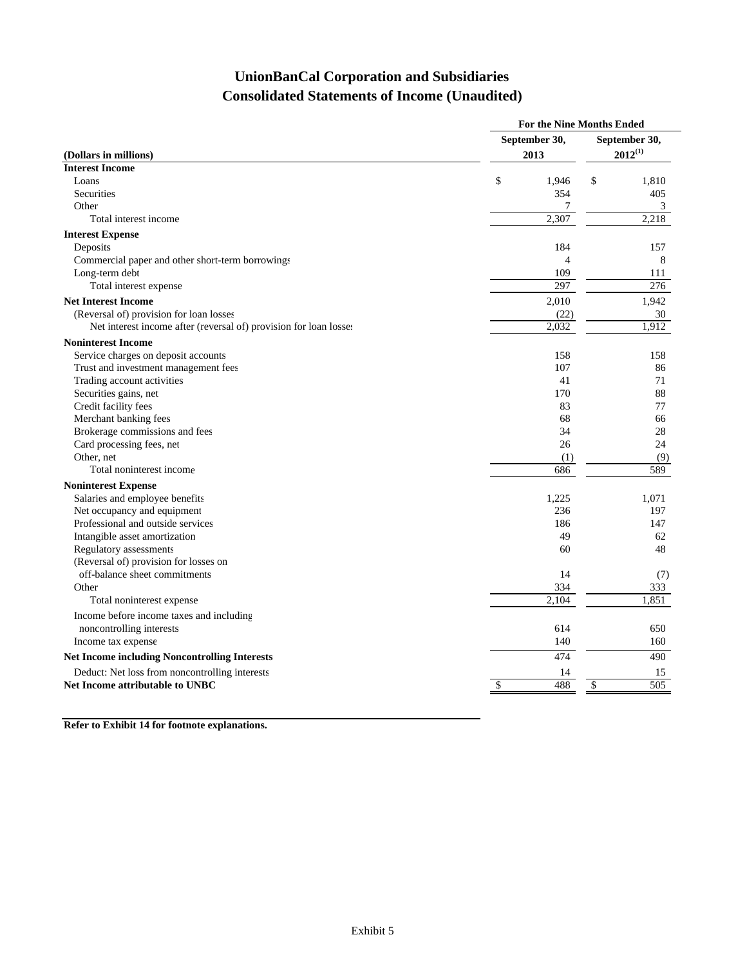# **UnionBanCal Corporation and Subsidiaries Consolidated Statements of Income (Unaudited)**

| September 30,<br>September 30,<br>$2012^{(1)}$<br>2013<br>(Dollars in millions)<br><b>Interest Income</b><br>\$<br>\$<br>1,946<br>Loans<br>354<br>Securities<br>Other<br>7<br>2,307<br>Total interest income<br><b>Interest Expense</b><br>184<br>Deposits<br>Commercial paper and other short-term borrowings<br>$\overline{4}$<br>Long-term debt<br>109<br>297<br>Total interest expense<br><b>Net Interest Income</b><br>2,010<br>1,942<br>(Reversal of) provision for loan losses<br>(22)<br>2,032<br>1,912<br>Net interest income after (reversal of) provision for loan losses<br><b>Noninterest Income</b><br>Service charges on deposit accounts<br>158<br>Trust and investment management fees<br>107<br>Trading account activities<br>41<br>Securities gains, net<br>170<br>Credit facility fees<br>83<br>Merchant banking fees<br>68<br>Brokerage commissions and fees<br>34<br>Card processing fees, net<br>26<br>Other, net<br>(1)<br>Total noninterest income<br>686<br><b>Noninterest Expense</b><br>Salaries and employee benefits<br>1,225<br>Net occupancy and equipment<br>236 | 1,810<br>405<br>3<br>2,218<br>157<br>8<br>111<br>276 |
|---------------------------------------------------------------------------------------------------------------------------------------------------------------------------------------------------------------------------------------------------------------------------------------------------------------------------------------------------------------------------------------------------------------------------------------------------------------------------------------------------------------------------------------------------------------------------------------------------------------------------------------------------------------------------------------------------------------------------------------------------------------------------------------------------------------------------------------------------------------------------------------------------------------------------------------------------------------------------------------------------------------------------------------------------------------------------------------------------|------------------------------------------------------|
|                                                                                                                                                                                                                                                                                                                                                                                                                                                                                                                                                                                                                                                                                                                                                                                                                                                                                                                                                                                                                                                                                                   |                                                      |
|                                                                                                                                                                                                                                                                                                                                                                                                                                                                                                                                                                                                                                                                                                                                                                                                                                                                                                                                                                                                                                                                                                   |                                                      |
|                                                                                                                                                                                                                                                                                                                                                                                                                                                                                                                                                                                                                                                                                                                                                                                                                                                                                                                                                                                                                                                                                                   |                                                      |
|                                                                                                                                                                                                                                                                                                                                                                                                                                                                                                                                                                                                                                                                                                                                                                                                                                                                                                                                                                                                                                                                                                   |                                                      |
|                                                                                                                                                                                                                                                                                                                                                                                                                                                                                                                                                                                                                                                                                                                                                                                                                                                                                                                                                                                                                                                                                                   |                                                      |
|                                                                                                                                                                                                                                                                                                                                                                                                                                                                                                                                                                                                                                                                                                                                                                                                                                                                                                                                                                                                                                                                                                   |                                                      |
|                                                                                                                                                                                                                                                                                                                                                                                                                                                                                                                                                                                                                                                                                                                                                                                                                                                                                                                                                                                                                                                                                                   |                                                      |
|                                                                                                                                                                                                                                                                                                                                                                                                                                                                                                                                                                                                                                                                                                                                                                                                                                                                                                                                                                                                                                                                                                   |                                                      |
|                                                                                                                                                                                                                                                                                                                                                                                                                                                                                                                                                                                                                                                                                                                                                                                                                                                                                                                                                                                                                                                                                                   |                                                      |
|                                                                                                                                                                                                                                                                                                                                                                                                                                                                                                                                                                                                                                                                                                                                                                                                                                                                                                                                                                                                                                                                                                   |                                                      |
|                                                                                                                                                                                                                                                                                                                                                                                                                                                                                                                                                                                                                                                                                                                                                                                                                                                                                                                                                                                                                                                                                                   |                                                      |
|                                                                                                                                                                                                                                                                                                                                                                                                                                                                                                                                                                                                                                                                                                                                                                                                                                                                                                                                                                                                                                                                                                   |                                                      |
|                                                                                                                                                                                                                                                                                                                                                                                                                                                                                                                                                                                                                                                                                                                                                                                                                                                                                                                                                                                                                                                                                                   |                                                      |
|                                                                                                                                                                                                                                                                                                                                                                                                                                                                                                                                                                                                                                                                                                                                                                                                                                                                                                                                                                                                                                                                                                   |                                                      |
|                                                                                                                                                                                                                                                                                                                                                                                                                                                                                                                                                                                                                                                                                                                                                                                                                                                                                                                                                                                                                                                                                                   | 30                                                   |
|                                                                                                                                                                                                                                                                                                                                                                                                                                                                                                                                                                                                                                                                                                                                                                                                                                                                                                                                                                                                                                                                                                   |                                                      |
|                                                                                                                                                                                                                                                                                                                                                                                                                                                                                                                                                                                                                                                                                                                                                                                                                                                                                                                                                                                                                                                                                                   |                                                      |
|                                                                                                                                                                                                                                                                                                                                                                                                                                                                                                                                                                                                                                                                                                                                                                                                                                                                                                                                                                                                                                                                                                   | 158                                                  |
|                                                                                                                                                                                                                                                                                                                                                                                                                                                                                                                                                                                                                                                                                                                                                                                                                                                                                                                                                                                                                                                                                                   | 86                                                   |
|                                                                                                                                                                                                                                                                                                                                                                                                                                                                                                                                                                                                                                                                                                                                                                                                                                                                                                                                                                                                                                                                                                   | 71                                                   |
|                                                                                                                                                                                                                                                                                                                                                                                                                                                                                                                                                                                                                                                                                                                                                                                                                                                                                                                                                                                                                                                                                                   | 88                                                   |
|                                                                                                                                                                                                                                                                                                                                                                                                                                                                                                                                                                                                                                                                                                                                                                                                                                                                                                                                                                                                                                                                                                   | 77                                                   |
|                                                                                                                                                                                                                                                                                                                                                                                                                                                                                                                                                                                                                                                                                                                                                                                                                                                                                                                                                                                                                                                                                                   | 66                                                   |
|                                                                                                                                                                                                                                                                                                                                                                                                                                                                                                                                                                                                                                                                                                                                                                                                                                                                                                                                                                                                                                                                                                   | 28                                                   |
|                                                                                                                                                                                                                                                                                                                                                                                                                                                                                                                                                                                                                                                                                                                                                                                                                                                                                                                                                                                                                                                                                                   | 24                                                   |
|                                                                                                                                                                                                                                                                                                                                                                                                                                                                                                                                                                                                                                                                                                                                                                                                                                                                                                                                                                                                                                                                                                   | (9)                                                  |
|                                                                                                                                                                                                                                                                                                                                                                                                                                                                                                                                                                                                                                                                                                                                                                                                                                                                                                                                                                                                                                                                                                   | 589                                                  |
|                                                                                                                                                                                                                                                                                                                                                                                                                                                                                                                                                                                                                                                                                                                                                                                                                                                                                                                                                                                                                                                                                                   |                                                      |
|                                                                                                                                                                                                                                                                                                                                                                                                                                                                                                                                                                                                                                                                                                                                                                                                                                                                                                                                                                                                                                                                                                   | 1.071                                                |
|                                                                                                                                                                                                                                                                                                                                                                                                                                                                                                                                                                                                                                                                                                                                                                                                                                                                                                                                                                                                                                                                                                   | 197                                                  |
| Professional and outside services<br>186                                                                                                                                                                                                                                                                                                                                                                                                                                                                                                                                                                                                                                                                                                                                                                                                                                                                                                                                                                                                                                                          | 147                                                  |
| 49<br>Intangible asset amortization                                                                                                                                                                                                                                                                                                                                                                                                                                                                                                                                                                                                                                                                                                                                                                                                                                                                                                                                                                                                                                                               | 62                                                   |
| Regulatory assessments<br>60                                                                                                                                                                                                                                                                                                                                                                                                                                                                                                                                                                                                                                                                                                                                                                                                                                                                                                                                                                                                                                                                      | 48                                                   |
| (Reversal of) provision for losses on                                                                                                                                                                                                                                                                                                                                                                                                                                                                                                                                                                                                                                                                                                                                                                                                                                                                                                                                                                                                                                                             |                                                      |
| off-balance sheet commitments<br>14                                                                                                                                                                                                                                                                                                                                                                                                                                                                                                                                                                                                                                                                                                                                                                                                                                                                                                                                                                                                                                                               | (7)                                                  |
| 334<br>Other                                                                                                                                                                                                                                                                                                                                                                                                                                                                                                                                                                                                                                                                                                                                                                                                                                                                                                                                                                                                                                                                                      | 333                                                  |
| 2,104<br>Total noninterest expense                                                                                                                                                                                                                                                                                                                                                                                                                                                                                                                                                                                                                                                                                                                                                                                                                                                                                                                                                                                                                                                                | 1,851                                                |
| Income before income taxes and including                                                                                                                                                                                                                                                                                                                                                                                                                                                                                                                                                                                                                                                                                                                                                                                                                                                                                                                                                                                                                                                          |                                                      |
| 614<br>noncontrolling interests                                                                                                                                                                                                                                                                                                                                                                                                                                                                                                                                                                                                                                                                                                                                                                                                                                                                                                                                                                                                                                                                   | 650                                                  |
| 140<br>Income tax expense                                                                                                                                                                                                                                                                                                                                                                                                                                                                                                                                                                                                                                                                                                                                                                                                                                                                                                                                                                                                                                                                         | 160                                                  |
|                                                                                                                                                                                                                                                                                                                                                                                                                                                                                                                                                                                                                                                                                                                                                                                                                                                                                                                                                                                                                                                                                                   |                                                      |
| 474<br><b>Net Income including Noncontrolling Interests</b>                                                                                                                                                                                                                                                                                                                                                                                                                                                                                                                                                                                                                                                                                                                                                                                                                                                                                                                                                                                                                                       | 490                                                  |
| Deduct: Net loss from noncontrolling interests<br>14                                                                                                                                                                                                                                                                                                                                                                                                                                                                                                                                                                                                                                                                                                                                                                                                                                                                                                                                                                                                                                              |                                                      |
| <b>Net Income attributable to UNBC</b><br>488<br>\$<br>\$                                                                                                                                                                                                                                                                                                                                                                                                                                                                                                                                                                                                                                                                                                                                                                                                                                                                                                                                                                                                                                         | 15<br>505                                            |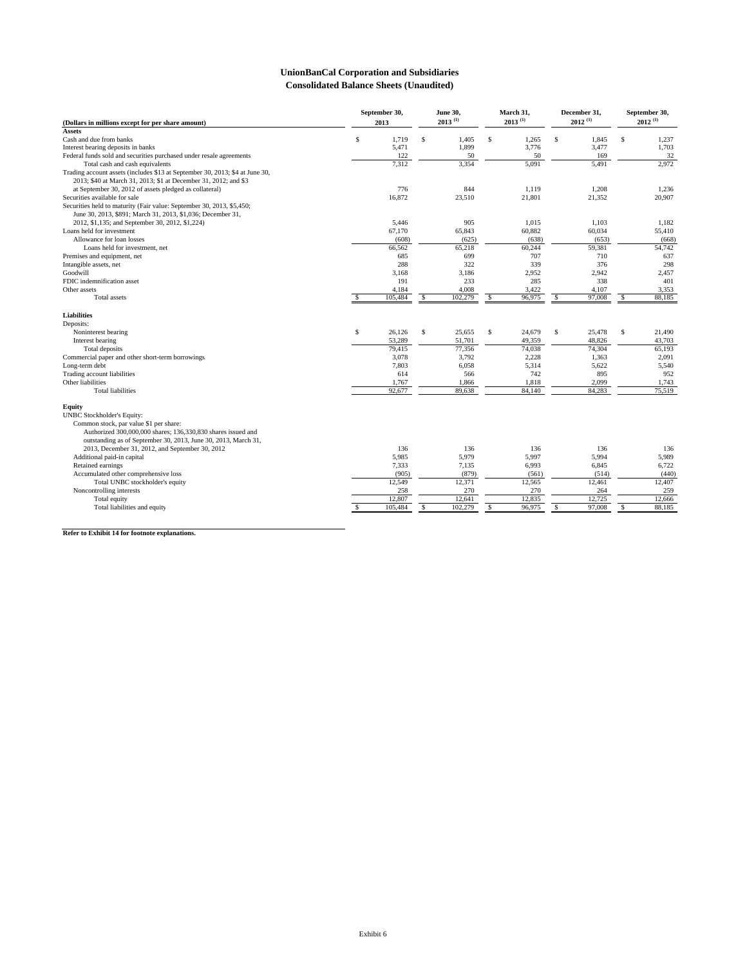## **UnionBanCal Corporation and Subsidiaries Consolidated Balance Sheets (Unaudited)**

| (Dollars in millions except for per share amount)                            |    | September 30,<br>2013 | <b>June 30,</b><br>$2013$ <sup>(1)</sup> |         |    | March 31,<br>$2013$ <sup>(1)</sup> | December 31,<br>$2012^{(1)}$ | September 30,<br>$2012^{(1)}$ |        |
|------------------------------------------------------------------------------|----|-----------------------|------------------------------------------|---------|----|------------------------------------|------------------------------|-------------------------------|--------|
| <b>Assets</b>                                                                |    |                       |                                          |         |    |                                    |                              |                               |        |
| Cash and due from banks                                                      | \$ | 1,719                 | $\mathbb{S}$                             | 1,405   | s  | 1,265                              | \$<br>1,845                  | \$                            | 1,237  |
| Interest bearing deposits in banks                                           |    | 5,471                 |                                          | 1,899   |    | 3,776                              | 3,477                        |                               | 1,703  |
| Federal funds sold and securities purchased under resale agreements          |    | 122                   |                                          | 50      |    | 50                                 | 169                          |                               | 32     |
| Total cash and cash equivalents                                              |    | 7.312                 |                                          | 3,354   |    | 5,091                              | 5,491                        |                               | 2.972  |
| Trading account assets (includes \$13 at September 30, 2013; \$4 at June 30, |    |                       |                                          |         |    |                                    |                              |                               |        |
| 2013; \$40 at March 31, 2013; \$1 at December 31, 2012; and \$3              |    |                       |                                          |         |    |                                    |                              |                               |        |
| at September 30, 2012 of assets pledged as collateral)                       |    | 776                   |                                          | 844     |    | 1.119                              | 1.208                        |                               | 1,236  |
| Securities available for sale                                                |    | 16,872                |                                          | 23,510  |    | 21,801                             | 21,352                       |                               | 20,907 |
| Securities held to maturity (Fair value: September 30, 2013, \$5,450;        |    |                       |                                          |         |    |                                    |                              |                               |        |
| June 30, 2013, \$891; March 31, 2013, \$1,036; December 31,                  |    |                       |                                          |         |    |                                    |                              |                               |        |
| 2012, \$1,135; and September 30, 2012, \$1,224)                              |    | 5,446                 |                                          | 905     |    | 1,015                              | 1,103                        |                               | 1,182  |
| Loans held for investment                                                    |    | 67,170                |                                          | 65,843  |    | 60,882                             | 60,034                       |                               | 55,410 |
| Allowance for loan losses                                                    |    | (608)                 |                                          | (625)   |    | (638)                              | (653)                        |                               | (668)  |
| Loans held for investment, net                                               |    | 66,562                |                                          | 65,218  |    | 60,244                             | 59,381                       |                               | 54,742 |
| Premises and equipment, net                                                  |    | 685                   |                                          | 699     |    | 707                                | 710                          |                               | 637    |
| Intangible assets, net                                                       |    | 288                   |                                          | 322     |    | 339                                | 376                          |                               | 298    |
| Goodwill                                                                     |    | 3,168                 |                                          | 3,186   |    | 2,952                              | 2,942                        |                               | 2,457  |
| FDIC indemnification asset                                                   |    | 191                   |                                          | 233     |    | 285                                | 338                          |                               | 401    |
| Other assets                                                                 |    | 4,184                 |                                          | 4.008   |    | 3.422                              | 4,107                        |                               | 3,353  |
| Total assets                                                                 |    | 105,484               | <sup>\$</sup>                            | 102,279 | s  | 96,975                             | \$<br>97,008                 | <sup>\$</sup>                 | 88,185 |
| <b>Liabilities</b>                                                           |    |                       |                                          |         |    |                                    |                              |                               |        |
| Deposits:                                                                    |    |                       |                                          |         |    |                                    |                              |                               |        |
| Noninterest bearing                                                          | \$ | 26,126                | \$                                       | 25,655  | \$ | 24,679                             | \$<br>25,478                 | \$                            | 21,490 |
| Interest bearing                                                             |    | 53,289                |                                          | 51,701  |    | 49,359                             | 48,826                       |                               | 43,703 |
| Total deposits                                                               |    | 79.415                |                                          | 77.356  |    | 74,038                             | 74.304                       |                               | 65.193 |
| Commercial paper and other short-term borrowings                             |    | 3.078                 |                                          | 3.792   |    | 2.228                              | 1,363                        |                               | 2,091  |
| Long-term debt                                                               |    | 7,803                 |                                          | 6,058   |    | 5,314                              | 5,622                        |                               | 5,540  |
| Trading account liabilities                                                  |    | 614                   |                                          | 566     |    | 742                                | 895                          |                               | 952    |
| Other liabilities                                                            |    | 1,767                 |                                          | 1,866   |    | 1,818                              | 2,099                        |                               | 1,743  |
| <b>Total liabilities</b>                                                     |    | 92,677                |                                          | 89,638  |    | 84,140                             | 84,283                       |                               | 75,519 |
| Equity                                                                       |    |                       |                                          |         |    |                                    |                              |                               |        |
| <b>UNBC Stockholder's Equity:</b>                                            |    |                       |                                          |         |    |                                    |                              |                               |        |
| Common stock, par value \$1 per share:                                       |    |                       |                                          |         |    |                                    |                              |                               |        |
| Authorized 300,000,000 shares; 136,330,830 shares issued and                 |    |                       |                                          |         |    |                                    |                              |                               |        |
| outstanding as of September 30, 2013, June 30, 2013, March 31,               |    |                       |                                          |         |    |                                    |                              |                               |        |
| 2013, December 31, 2012, and September 30, 2012                              |    | 136                   |                                          | 136     |    | 136                                | 136                          |                               | 136    |
| Additional paid-in capital                                                   |    | 5.985                 |                                          | 5.979   |    | 5.997                              | 5.994                        |                               | 5,989  |
| Retained earnings                                                            |    | 7,333                 |                                          | 7,135   |    | 6,993                              | 6,845                        |                               | 6,722  |
| Accumulated other comprehensive loss                                         |    | (905)                 |                                          | (879)   |    | (561)                              | (514)                        |                               | (440)  |
| Total UNBC stockholder's equity                                              |    | 12,549                |                                          | 12,371  |    | 12,565                             | 12,461                       |                               | 12,407 |
| Noncontrolling interests                                                     |    | 258                   |                                          | 270     |    | 270                                | 264                          |                               | 259    |
| Total equity                                                                 |    | 12,807                |                                          | 12,641  |    | 12,835                             | 12,725                       |                               | 12,666 |
| Total liabilities and equity                                                 | S. | 105,484               | $\mathbb{S}$                             | 102,279 | s  | 96,975                             | \$<br>97,008                 | \$.                           | 88,185 |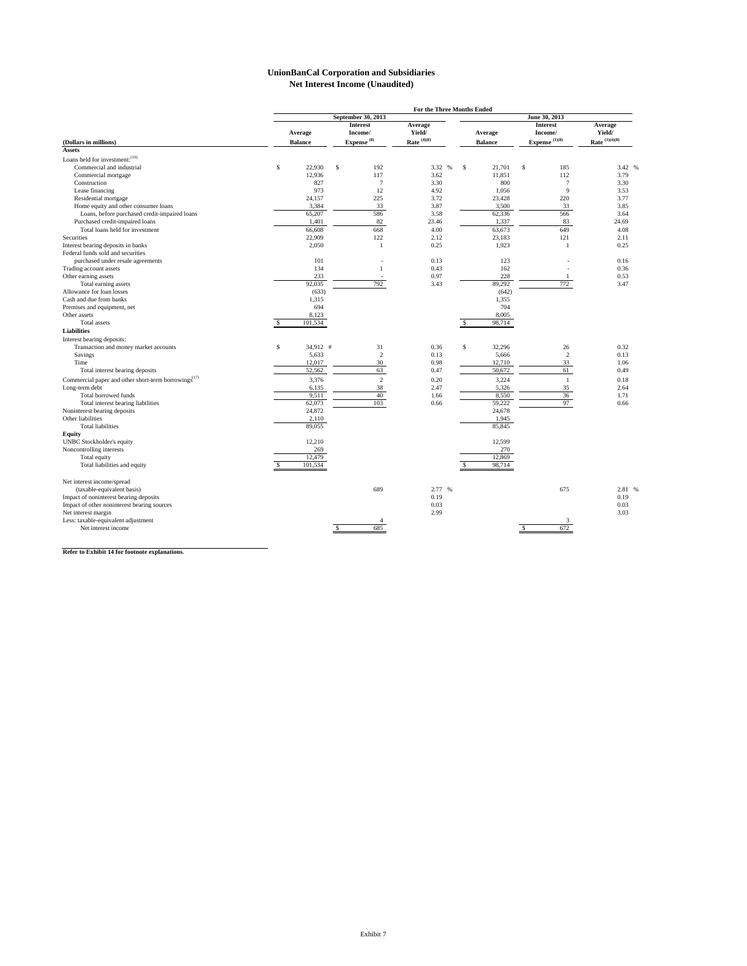## **UnionBanCal Corporation and Subsidiaries Net Interest Income (Unaudited)**

|                                                                  |             |                |                 |                        | For the Three Months Ended |    |                |                 |                     |                         |
|------------------------------------------------------------------|-------------|----------------|-----------------|------------------------|----------------------------|----|----------------|-----------------|---------------------|-------------------------|
|                                                                  |             |                |                 | September 30, 2013     |                            |    |                |                 |                     |                         |
|                                                                  |             |                | <b>Interest</b> |                        | Average                    |    |                | <b>Interest</b> | Average             |                         |
|                                                                  |             | Average        |                 | Income/                | Yield/                     |    | Average        | Income/         |                     | Yield/                  |
| (Dollars in millions)                                            |             | <b>Balance</b> |                 | Expense <sup>(8)</sup> | <b>Rate</b> $(4)(8)$       |    | <b>Balance</b> |                 | Expense $^{(1)(8)}$ | <b>Rate</b> $(1)(4)(8)$ |
| <b>Assets</b>                                                    |             |                |                 |                        |                            |    |                |                 |                     |                         |
| Loans held for investment: (16)                                  |             |                |                 |                        |                            |    |                |                 |                     |                         |
| Commercial and industrial                                        | $\mathbb S$ | 22,930         | \$.             | 192                    | 3.32<br>%                  | \$ | 21,701         | s               | 185                 | 3.42 %                  |
| Commercial mortgage                                              |             | 12,936         |                 | 117                    | 3.62                       |    | 11,851         |                 | 112                 | 3.79                    |
| Construction                                                     |             | 827            |                 | $\overline{7}$         | 3.30                       |    | 800            |                 | $\overline{7}$      | 3.30                    |
| Lease financing                                                  |             | 973            |                 | 12                     | 4.92                       |    | 1,056          |                 | 9                   | 3.53                    |
| Residential mortgage                                             |             | 24,157         |                 | 225                    | 3.72                       |    | 23,428         |                 | 220                 | 3.77                    |
| Home equity and other consumer loans                             |             | 3,384          |                 | 33                     | 3.87                       |    | 3.500          |                 | 33                  | 3.85                    |
| Loans, before purchased credit-impaired loans                    |             | 65,207         |                 | 586                    | 3.58                       |    | 62,336         |                 | 566                 | 3.64                    |
| Purchased credit-impaired loans                                  |             | 1,401          |                 | 82                     | 23.46                      |    | 1,337          |                 | 83                  | 24.69                   |
| Total loans held for investment                                  |             | 66,608         |                 | 668                    | 4.00                       |    | 63,673         |                 | 649                 | 4.08                    |
| Securities                                                       |             | 22,909         |                 | 122                    | 2.12                       |    | 23,183         |                 | 121                 | 2.11                    |
| Interest bearing deposits in banks                               |             | 2,050          |                 | 1                      | 0.25                       |    | 1,923          |                 | $\mathbf{1}$        | 0.25                    |
| Federal funds sold and securities                                |             |                |                 |                        |                            |    |                |                 |                     |                         |
| purchased under resale agreements                                |             | 101            |                 |                        | 0.13                       |    | 123            |                 |                     | 0.16                    |
| Trading account assets                                           |             | 134            |                 | 1                      | 0.43                       |    | 162            |                 |                     | 0.36                    |
| Other earning assets                                             |             | 233            |                 | ÷,                     | 0.97                       |    | 228            |                 | $\mathbf{1}$        | 0.53                    |
| Total earning assets                                             |             | 92,035         |                 | 792                    | 3.43                       |    | 89,292         |                 | 772                 | 3.47                    |
| Allowance for loan losses                                        |             | (633)          |                 |                        |                            |    | (642)          |                 |                     |                         |
| Cash and due from banks                                          |             | 1,315          |                 |                        |                            |    | 1,355          |                 |                     |                         |
| Premises and equipment, net                                      |             | 694            |                 |                        |                            |    | 704            |                 |                     |                         |
| Other assets                                                     |             | 8,123          |                 |                        |                            |    | 8,005          |                 |                     |                         |
| Total assets                                                     | S           | 101,534        |                 |                        |                            |    | 98,714         |                 |                     |                         |
| <b>Liabilities</b>                                               |             |                |                 |                        |                            |    |                |                 |                     |                         |
| Interest bearing deposits:                                       |             |                |                 |                        |                            |    |                |                 |                     |                         |
| Transaction and money market accounts                            | s           | 34,912 #       |                 | 31                     | 0.36                       | \$ | 32,296         |                 | 26                  | 0.32                    |
| Savings                                                          |             | 5,633          |                 | $\overline{c}$         | 0.13                       |    | 5,666          |                 | $\overline{2}$      | 0.13                    |
| Time                                                             |             | 12,017         |                 | 30                     | 0.98                       |    | 12,710         |                 | 33                  | 1.06                    |
| Total interest bearing deposits                                  |             | 52,562         |                 | 63                     | 0.47                       |    | 50,672         |                 | 61                  | 0.49                    |
| Commercial paper and other short-term borrowings <sup>(17)</sup> |             | 3,376          |                 | $\overline{c}$         | 0.20                       |    | 3,224          |                 | $\mathbf{1}$        | 0.18                    |
| Long-term debt                                                   |             | 6,135          |                 | 38                     | 2.47                       |    | 5,326          |                 | 35                  | 2.64                    |
| Total borrowed funds                                             |             | 9,511          |                 | 40                     | 1.66                       |    | 8,550          |                 | 36                  | 1.71                    |
| Total interest bearing liabilities                               |             | 62,073         |                 | 103                    | 0.66                       |    | 59,222         |                 | 97                  | 0.66                    |
| Noninterest bearing deposits                                     |             | 24,872         |                 |                        |                            |    | 24,678         |                 |                     |                         |
| Other liabilities                                                |             | 2,110          |                 |                        |                            |    | 1,945          |                 |                     |                         |
| <b>Total liabilities</b>                                         |             | 89,055         |                 |                        |                            |    | 85,845         |                 |                     |                         |
| Equity                                                           |             |                |                 |                        |                            |    |                |                 |                     |                         |
| <b>UNBC</b> Stockholder's equity                                 |             | 12,210         |                 |                        |                            |    | 12,599         |                 |                     |                         |
| Noncontrolling interests                                         |             | 269            |                 |                        |                            |    | 270            |                 |                     |                         |
| Total equity                                                     |             | 12,479         |                 |                        |                            |    | 12,869         |                 |                     |                         |
| Total liabilities and equity                                     | s           | 101,534        |                 |                        |                            | S  | 98,714         |                 |                     |                         |
| Net interest income/spread                                       |             |                |                 |                        |                            |    |                |                 |                     |                         |
| (taxable-equivalent basis)                                       |             |                |                 | 689                    | 2.77 %                     |    |                |                 | 675                 | 2.81 %                  |
| Impact of noninterest bearing deposits                           |             |                |                 |                        | 0.19                       |    |                |                 |                     | 0.19                    |
| Impact of other noninterest bearing sources                      |             |                |                 |                        | 0.03                       |    |                |                 |                     | 0.03                    |
| Net interest margin                                              |             |                |                 |                        | 2.99                       |    |                |                 |                     | 3.03                    |
| Less: taxable-equivalent adjustment                              |             |                |                 |                        |                            |    |                |                 | 3                   |                         |
| Net interest income                                              |             |                |                 | 685                    |                            |    |                |                 | 672                 |                         |
|                                                                  |             |                |                 |                        |                            |    |                |                 |                     |                         |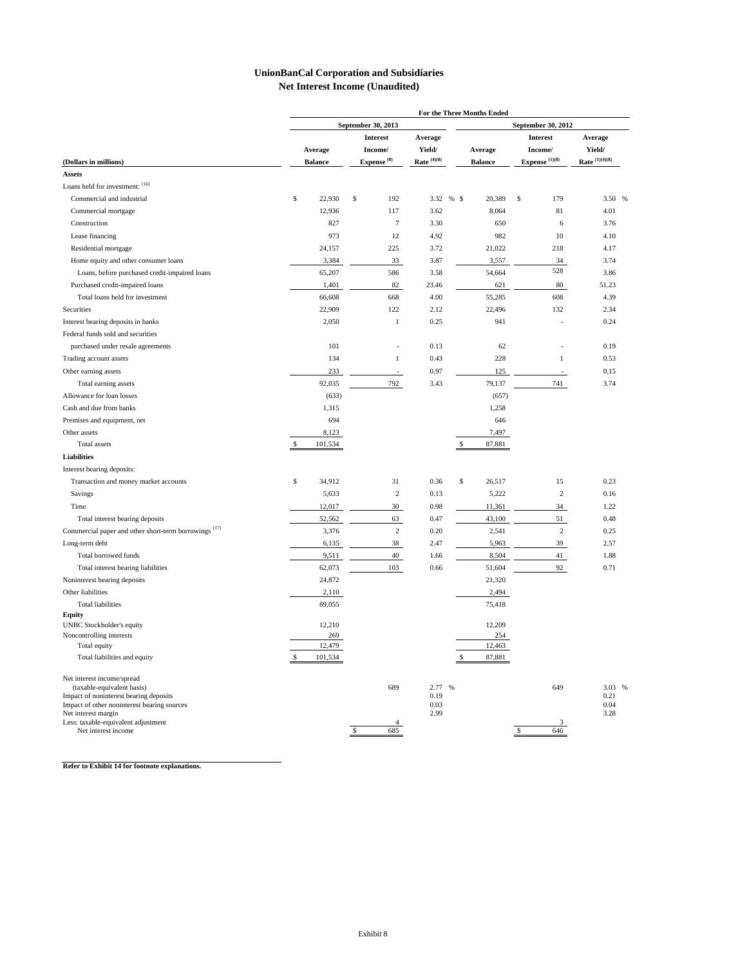## **UnionBanCal Corporation and Subsidiaries Net Interest Income (Unaudited)**

| September 30, 2013<br>September 30, 2012<br><b>Interest</b><br>Average<br>Interest<br>Average<br>Yield/<br>Average<br>Income/<br>Yield/<br>Average<br>Income/<br><b>Rate</b> $^{(1)(4)(8)}$<br><b>Rate</b> $(4)(8)$<br>Expense <sup>(1)(8)</sup><br>Expense <sup>(8)</sup><br>(Dollars in millions)<br><b>Balance</b><br><b>Balance</b><br><b>Assets</b><br>Loans held for investment: (16)<br>\$<br>\$<br>192<br>% S<br>\$<br>179<br>Commercial and industrial<br>22,930<br>3.32<br>20,389<br>3.50<br>81<br>Commercial mortgage<br>12,936<br>117<br>3.62<br>8,064<br>4.01<br>827<br>$\boldsymbol{7}$<br>3.30<br>Construction<br>650<br>3.76<br>6<br>Lease financing<br>973<br>12<br>4.92<br>982<br>10<br>4.10<br>225<br>21,022<br>218<br>Residential mortgage<br>24,157<br>3.72<br>4.17<br>Home equity and other consumer loans<br>3,384<br>33<br>3.87<br>3,557<br>34<br>3.74<br>528<br>586<br>Loans, before purchased credit-impaired loans<br>65,207<br>3.58<br>54,664<br>3.86<br>1,401<br>$82\,$<br>23.46<br>621<br>$80\,$<br>51.23<br>Purchased credit-impaired loans<br>55,285<br>608<br>Total loans held for investment<br>66,608<br>668<br>4.00<br>4.39<br>22,909<br>122<br>2.12<br>22,496<br>132<br>2.34<br>Securities<br>Interest bearing deposits in banks<br>2,050<br>$\mathbf{1}$<br>0.25<br>941<br>0.24<br>Federal funds sold and securities<br>101<br>0.19<br>purchased under resale agreements<br>0.13<br>62<br>134<br>$\mathbf{1}$<br>0.43<br>228<br>0.53<br>Trading account assets<br>$\mathbf{1}$<br>0.97<br>233<br>125<br>0.15<br>Other earning assets<br>92,035<br>792<br>3.43<br>79,137<br>741<br>3.74<br>Total earning assets<br>Allowance for loan losses<br>(633)<br>(657)<br>1,315<br>1,258<br>Cash and due from banks<br>694<br>Premises and equipment, net<br>646<br>7,497<br>Other assets<br>8,123<br>101,534<br><b>Total</b> assets<br>s<br>\$<br>87,881<br><b>Liabilities</b><br>Interest bearing deposits:<br>0.23<br>34,912<br>31<br>0.36<br>15<br>Transaction and money market accounts<br>s<br>\$<br>26,517<br>5,633<br>2<br>5,222<br>$\overline{c}$<br>Savings<br>0.13<br>0.16<br>Time<br>12,017<br>30<br>0.98<br>11,361<br>34<br>1.22<br>63<br>51<br>Total interest bearing deposits<br>52,562<br>0.47<br>43,100<br>0.48<br>Commercial paper and other short-term borrowings <sup>(17)</sup><br>$\sqrt{2}$<br>3,376<br>$\overline{c}$<br>0.20<br>2,541<br>0.25<br>38<br>2.47<br>5,963<br>39<br>2.57<br>Long-term debt<br>6,135<br>$40\,$<br>41<br>Total borrowed funds<br>9,511<br>8,504<br>1.88<br>1.66<br>62,073<br>103<br>51,604<br>92<br>0.71<br>Total interest bearing liabilities<br>0.66<br>Noninterest bearing deposits<br>24,872<br>21,320<br>Other liabilities<br>2,110<br>2,494<br>89,055<br><b>Total liabilities</b><br>75,418<br>Equity<br><b>UNBC</b> Stockholder's equity<br>12,210<br>12,209<br>Noncontrolling interests<br>269<br>254<br>Total equity<br>12,479<br>12,463<br>101,534<br>87,881<br>Total liabilities and equity<br>\$.<br>\$.<br>Net interest income/spread<br>689<br>649<br>3.03<br>%<br>(taxable-equivalent basis)<br>2.77<br>%<br>0.19<br>0.21<br>Impact of noninterest bearing deposits<br>Impact of other noninterest bearing sources<br>0.03<br>0.04<br>Net interest margin<br>2.99<br>3.28<br>Less: taxable-equivalent adjustment<br>$\overline{4}$<br>3<br>685<br>646<br>Net interest income<br>\$ |  |  |  | For the Three Months Ended |  |  |  |  |  |  |
|---------------------------------------------------------------------------------------------------------------------------------------------------------------------------------------------------------------------------------------------------------------------------------------------------------------------------------------------------------------------------------------------------------------------------------------------------------------------------------------------------------------------------------------------------------------------------------------------------------------------------------------------------------------------------------------------------------------------------------------------------------------------------------------------------------------------------------------------------------------------------------------------------------------------------------------------------------------------------------------------------------------------------------------------------------------------------------------------------------------------------------------------------------------------------------------------------------------------------------------------------------------------------------------------------------------------------------------------------------------------------------------------------------------------------------------------------------------------------------------------------------------------------------------------------------------------------------------------------------------------------------------------------------------------------------------------------------------------------------------------------------------------------------------------------------------------------------------------------------------------------------------------------------------------------------------------------------------------------------------------------------------------------------------------------------------------------------------------------------------------------------------------------------------------------------------------------------------------------------------------------------------------------------------------------------------------------------------------------------------------------------------------------------------------------------------------------------------------------------------------------------------------------------------------------------------------------------------------------------------------------------------------------------------------------------------------------------------------------------------------------------------------------------------------------------------------------------------------------------------------------------------------------------------------------------------------------------------------------------------------------------------------------------------------------------------------------------------------------------------------------------------------------------------------------------------------------------------------------------------------------------------------------------------------------------------------------------------------------------------------------------|--|--|--|----------------------------|--|--|--|--|--|--|
|                                                                                                                                                                                                                                                                                                                                                                                                                                                                                                                                                                                                                                                                                                                                                                                                                                                                                                                                                                                                                                                                                                                                                                                                                                                                                                                                                                                                                                                                                                                                                                                                                                                                                                                                                                                                                                                                                                                                                                                                                                                                                                                                                                                                                                                                                                                                                                                                                                                                                                                                                                                                                                                                                                                                                                                                                                                                                                                                                                                                                                                                                                                                                                                                                                                                                                                                                                                 |  |  |  |                            |  |  |  |  |  |  |
|                                                                                                                                                                                                                                                                                                                                                                                                                                                                                                                                                                                                                                                                                                                                                                                                                                                                                                                                                                                                                                                                                                                                                                                                                                                                                                                                                                                                                                                                                                                                                                                                                                                                                                                                                                                                                                                                                                                                                                                                                                                                                                                                                                                                                                                                                                                                                                                                                                                                                                                                                                                                                                                                                                                                                                                                                                                                                                                                                                                                                                                                                                                                                                                                                                                                                                                                                                                 |  |  |  |                            |  |  |  |  |  |  |
|                                                                                                                                                                                                                                                                                                                                                                                                                                                                                                                                                                                                                                                                                                                                                                                                                                                                                                                                                                                                                                                                                                                                                                                                                                                                                                                                                                                                                                                                                                                                                                                                                                                                                                                                                                                                                                                                                                                                                                                                                                                                                                                                                                                                                                                                                                                                                                                                                                                                                                                                                                                                                                                                                                                                                                                                                                                                                                                                                                                                                                                                                                                                                                                                                                                                                                                                                                                 |  |  |  |                            |  |  |  |  |  |  |
|                                                                                                                                                                                                                                                                                                                                                                                                                                                                                                                                                                                                                                                                                                                                                                                                                                                                                                                                                                                                                                                                                                                                                                                                                                                                                                                                                                                                                                                                                                                                                                                                                                                                                                                                                                                                                                                                                                                                                                                                                                                                                                                                                                                                                                                                                                                                                                                                                                                                                                                                                                                                                                                                                                                                                                                                                                                                                                                                                                                                                                                                                                                                                                                                                                                                                                                                                                                 |  |  |  |                            |  |  |  |  |  |  |
|                                                                                                                                                                                                                                                                                                                                                                                                                                                                                                                                                                                                                                                                                                                                                                                                                                                                                                                                                                                                                                                                                                                                                                                                                                                                                                                                                                                                                                                                                                                                                                                                                                                                                                                                                                                                                                                                                                                                                                                                                                                                                                                                                                                                                                                                                                                                                                                                                                                                                                                                                                                                                                                                                                                                                                                                                                                                                                                                                                                                                                                                                                                                                                                                                                                                                                                                                                                 |  |  |  |                            |  |  |  |  |  |  |
|                                                                                                                                                                                                                                                                                                                                                                                                                                                                                                                                                                                                                                                                                                                                                                                                                                                                                                                                                                                                                                                                                                                                                                                                                                                                                                                                                                                                                                                                                                                                                                                                                                                                                                                                                                                                                                                                                                                                                                                                                                                                                                                                                                                                                                                                                                                                                                                                                                                                                                                                                                                                                                                                                                                                                                                                                                                                                                                                                                                                                                                                                                                                                                                                                                                                                                                                                                                 |  |  |  |                            |  |  |  |  |  |  |
|                                                                                                                                                                                                                                                                                                                                                                                                                                                                                                                                                                                                                                                                                                                                                                                                                                                                                                                                                                                                                                                                                                                                                                                                                                                                                                                                                                                                                                                                                                                                                                                                                                                                                                                                                                                                                                                                                                                                                                                                                                                                                                                                                                                                                                                                                                                                                                                                                                                                                                                                                                                                                                                                                                                                                                                                                                                                                                                                                                                                                                                                                                                                                                                                                                                                                                                                                                                 |  |  |  |                            |  |  |  |  |  |  |
|                                                                                                                                                                                                                                                                                                                                                                                                                                                                                                                                                                                                                                                                                                                                                                                                                                                                                                                                                                                                                                                                                                                                                                                                                                                                                                                                                                                                                                                                                                                                                                                                                                                                                                                                                                                                                                                                                                                                                                                                                                                                                                                                                                                                                                                                                                                                                                                                                                                                                                                                                                                                                                                                                                                                                                                                                                                                                                                                                                                                                                                                                                                                                                                                                                                                                                                                                                                 |  |  |  |                            |  |  |  |  |  |  |
|                                                                                                                                                                                                                                                                                                                                                                                                                                                                                                                                                                                                                                                                                                                                                                                                                                                                                                                                                                                                                                                                                                                                                                                                                                                                                                                                                                                                                                                                                                                                                                                                                                                                                                                                                                                                                                                                                                                                                                                                                                                                                                                                                                                                                                                                                                                                                                                                                                                                                                                                                                                                                                                                                                                                                                                                                                                                                                                                                                                                                                                                                                                                                                                                                                                                                                                                                                                 |  |  |  |                            |  |  |  |  |  |  |
|                                                                                                                                                                                                                                                                                                                                                                                                                                                                                                                                                                                                                                                                                                                                                                                                                                                                                                                                                                                                                                                                                                                                                                                                                                                                                                                                                                                                                                                                                                                                                                                                                                                                                                                                                                                                                                                                                                                                                                                                                                                                                                                                                                                                                                                                                                                                                                                                                                                                                                                                                                                                                                                                                                                                                                                                                                                                                                                                                                                                                                                                                                                                                                                                                                                                                                                                                                                 |  |  |  |                            |  |  |  |  |  |  |
|                                                                                                                                                                                                                                                                                                                                                                                                                                                                                                                                                                                                                                                                                                                                                                                                                                                                                                                                                                                                                                                                                                                                                                                                                                                                                                                                                                                                                                                                                                                                                                                                                                                                                                                                                                                                                                                                                                                                                                                                                                                                                                                                                                                                                                                                                                                                                                                                                                                                                                                                                                                                                                                                                                                                                                                                                                                                                                                                                                                                                                                                                                                                                                                                                                                                                                                                                                                 |  |  |  |                            |  |  |  |  |  |  |
|                                                                                                                                                                                                                                                                                                                                                                                                                                                                                                                                                                                                                                                                                                                                                                                                                                                                                                                                                                                                                                                                                                                                                                                                                                                                                                                                                                                                                                                                                                                                                                                                                                                                                                                                                                                                                                                                                                                                                                                                                                                                                                                                                                                                                                                                                                                                                                                                                                                                                                                                                                                                                                                                                                                                                                                                                                                                                                                                                                                                                                                                                                                                                                                                                                                                                                                                                                                 |  |  |  |                            |  |  |  |  |  |  |
|                                                                                                                                                                                                                                                                                                                                                                                                                                                                                                                                                                                                                                                                                                                                                                                                                                                                                                                                                                                                                                                                                                                                                                                                                                                                                                                                                                                                                                                                                                                                                                                                                                                                                                                                                                                                                                                                                                                                                                                                                                                                                                                                                                                                                                                                                                                                                                                                                                                                                                                                                                                                                                                                                                                                                                                                                                                                                                                                                                                                                                                                                                                                                                                                                                                                                                                                                                                 |  |  |  |                            |  |  |  |  |  |  |
|                                                                                                                                                                                                                                                                                                                                                                                                                                                                                                                                                                                                                                                                                                                                                                                                                                                                                                                                                                                                                                                                                                                                                                                                                                                                                                                                                                                                                                                                                                                                                                                                                                                                                                                                                                                                                                                                                                                                                                                                                                                                                                                                                                                                                                                                                                                                                                                                                                                                                                                                                                                                                                                                                                                                                                                                                                                                                                                                                                                                                                                                                                                                                                                                                                                                                                                                                                                 |  |  |  |                            |  |  |  |  |  |  |
|                                                                                                                                                                                                                                                                                                                                                                                                                                                                                                                                                                                                                                                                                                                                                                                                                                                                                                                                                                                                                                                                                                                                                                                                                                                                                                                                                                                                                                                                                                                                                                                                                                                                                                                                                                                                                                                                                                                                                                                                                                                                                                                                                                                                                                                                                                                                                                                                                                                                                                                                                                                                                                                                                                                                                                                                                                                                                                                                                                                                                                                                                                                                                                                                                                                                                                                                                                                 |  |  |  |                            |  |  |  |  |  |  |
|                                                                                                                                                                                                                                                                                                                                                                                                                                                                                                                                                                                                                                                                                                                                                                                                                                                                                                                                                                                                                                                                                                                                                                                                                                                                                                                                                                                                                                                                                                                                                                                                                                                                                                                                                                                                                                                                                                                                                                                                                                                                                                                                                                                                                                                                                                                                                                                                                                                                                                                                                                                                                                                                                                                                                                                                                                                                                                                                                                                                                                                                                                                                                                                                                                                                                                                                                                                 |  |  |  |                            |  |  |  |  |  |  |
|                                                                                                                                                                                                                                                                                                                                                                                                                                                                                                                                                                                                                                                                                                                                                                                                                                                                                                                                                                                                                                                                                                                                                                                                                                                                                                                                                                                                                                                                                                                                                                                                                                                                                                                                                                                                                                                                                                                                                                                                                                                                                                                                                                                                                                                                                                                                                                                                                                                                                                                                                                                                                                                                                                                                                                                                                                                                                                                                                                                                                                                                                                                                                                                                                                                                                                                                                                                 |  |  |  |                            |  |  |  |  |  |  |
|                                                                                                                                                                                                                                                                                                                                                                                                                                                                                                                                                                                                                                                                                                                                                                                                                                                                                                                                                                                                                                                                                                                                                                                                                                                                                                                                                                                                                                                                                                                                                                                                                                                                                                                                                                                                                                                                                                                                                                                                                                                                                                                                                                                                                                                                                                                                                                                                                                                                                                                                                                                                                                                                                                                                                                                                                                                                                                                                                                                                                                                                                                                                                                                                                                                                                                                                                                                 |  |  |  |                            |  |  |  |  |  |  |
|                                                                                                                                                                                                                                                                                                                                                                                                                                                                                                                                                                                                                                                                                                                                                                                                                                                                                                                                                                                                                                                                                                                                                                                                                                                                                                                                                                                                                                                                                                                                                                                                                                                                                                                                                                                                                                                                                                                                                                                                                                                                                                                                                                                                                                                                                                                                                                                                                                                                                                                                                                                                                                                                                                                                                                                                                                                                                                                                                                                                                                                                                                                                                                                                                                                                                                                                                                                 |  |  |  |                            |  |  |  |  |  |  |
|                                                                                                                                                                                                                                                                                                                                                                                                                                                                                                                                                                                                                                                                                                                                                                                                                                                                                                                                                                                                                                                                                                                                                                                                                                                                                                                                                                                                                                                                                                                                                                                                                                                                                                                                                                                                                                                                                                                                                                                                                                                                                                                                                                                                                                                                                                                                                                                                                                                                                                                                                                                                                                                                                                                                                                                                                                                                                                                                                                                                                                                                                                                                                                                                                                                                                                                                                                                 |  |  |  |                            |  |  |  |  |  |  |
|                                                                                                                                                                                                                                                                                                                                                                                                                                                                                                                                                                                                                                                                                                                                                                                                                                                                                                                                                                                                                                                                                                                                                                                                                                                                                                                                                                                                                                                                                                                                                                                                                                                                                                                                                                                                                                                                                                                                                                                                                                                                                                                                                                                                                                                                                                                                                                                                                                                                                                                                                                                                                                                                                                                                                                                                                                                                                                                                                                                                                                                                                                                                                                                                                                                                                                                                                                                 |  |  |  |                            |  |  |  |  |  |  |
|                                                                                                                                                                                                                                                                                                                                                                                                                                                                                                                                                                                                                                                                                                                                                                                                                                                                                                                                                                                                                                                                                                                                                                                                                                                                                                                                                                                                                                                                                                                                                                                                                                                                                                                                                                                                                                                                                                                                                                                                                                                                                                                                                                                                                                                                                                                                                                                                                                                                                                                                                                                                                                                                                                                                                                                                                                                                                                                                                                                                                                                                                                                                                                                                                                                                                                                                                                                 |  |  |  |                            |  |  |  |  |  |  |
|                                                                                                                                                                                                                                                                                                                                                                                                                                                                                                                                                                                                                                                                                                                                                                                                                                                                                                                                                                                                                                                                                                                                                                                                                                                                                                                                                                                                                                                                                                                                                                                                                                                                                                                                                                                                                                                                                                                                                                                                                                                                                                                                                                                                                                                                                                                                                                                                                                                                                                                                                                                                                                                                                                                                                                                                                                                                                                                                                                                                                                                                                                                                                                                                                                                                                                                                                                                 |  |  |  |                            |  |  |  |  |  |  |
|                                                                                                                                                                                                                                                                                                                                                                                                                                                                                                                                                                                                                                                                                                                                                                                                                                                                                                                                                                                                                                                                                                                                                                                                                                                                                                                                                                                                                                                                                                                                                                                                                                                                                                                                                                                                                                                                                                                                                                                                                                                                                                                                                                                                                                                                                                                                                                                                                                                                                                                                                                                                                                                                                                                                                                                                                                                                                                                                                                                                                                                                                                                                                                                                                                                                                                                                                                                 |  |  |  |                            |  |  |  |  |  |  |
|                                                                                                                                                                                                                                                                                                                                                                                                                                                                                                                                                                                                                                                                                                                                                                                                                                                                                                                                                                                                                                                                                                                                                                                                                                                                                                                                                                                                                                                                                                                                                                                                                                                                                                                                                                                                                                                                                                                                                                                                                                                                                                                                                                                                                                                                                                                                                                                                                                                                                                                                                                                                                                                                                                                                                                                                                                                                                                                                                                                                                                                                                                                                                                                                                                                                                                                                                                                 |  |  |  |                            |  |  |  |  |  |  |
|                                                                                                                                                                                                                                                                                                                                                                                                                                                                                                                                                                                                                                                                                                                                                                                                                                                                                                                                                                                                                                                                                                                                                                                                                                                                                                                                                                                                                                                                                                                                                                                                                                                                                                                                                                                                                                                                                                                                                                                                                                                                                                                                                                                                                                                                                                                                                                                                                                                                                                                                                                                                                                                                                                                                                                                                                                                                                                                                                                                                                                                                                                                                                                                                                                                                                                                                                                                 |  |  |  |                            |  |  |  |  |  |  |
|                                                                                                                                                                                                                                                                                                                                                                                                                                                                                                                                                                                                                                                                                                                                                                                                                                                                                                                                                                                                                                                                                                                                                                                                                                                                                                                                                                                                                                                                                                                                                                                                                                                                                                                                                                                                                                                                                                                                                                                                                                                                                                                                                                                                                                                                                                                                                                                                                                                                                                                                                                                                                                                                                                                                                                                                                                                                                                                                                                                                                                                                                                                                                                                                                                                                                                                                                                                 |  |  |  |                            |  |  |  |  |  |  |
|                                                                                                                                                                                                                                                                                                                                                                                                                                                                                                                                                                                                                                                                                                                                                                                                                                                                                                                                                                                                                                                                                                                                                                                                                                                                                                                                                                                                                                                                                                                                                                                                                                                                                                                                                                                                                                                                                                                                                                                                                                                                                                                                                                                                                                                                                                                                                                                                                                                                                                                                                                                                                                                                                                                                                                                                                                                                                                                                                                                                                                                                                                                                                                                                                                                                                                                                                                                 |  |  |  |                            |  |  |  |  |  |  |
|                                                                                                                                                                                                                                                                                                                                                                                                                                                                                                                                                                                                                                                                                                                                                                                                                                                                                                                                                                                                                                                                                                                                                                                                                                                                                                                                                                                                                                                                                                                                                                                                                                                                                                                                                                                                                                                                                                                                                                                                                                                                                                                                                                                                                                                                                                                                                                                                                                                                                                                                                                                                                                                                                                                                                                                                                                                                                                                                                                                                                                                                                                                                                                                                                                                                                                                                                                                 |  |  |  |                            |  |  |  |  |  |  |
|                                                                                                                                                                                                                                                                                                                                                                                                                                                                                                                                                                                                                                                                                                                                                                                                                                                                                                                                                                                                                                                                                                                                                                                                                                                                                                                                                                                                                                                                                                                                                                                                                                                                                                                                                                                                                                                                                                                                                                                                                                                                                                                                                                                                                                                                                                                                                                                                                                                                                                                                                                                                                                                                                                                                                                                                                                                                                                                                                                                                                                                                                                                                                                                                                                                                                                                                                                                 |  |  |  |                            |  |  |  |  |  |  |
|                                                                                                                                                                                                                                                                                                                                                                                                                                                                                                                                                                                                                                                                                                                                                                                                                                                                                                                                                                                                                                                                                                                                                                                                                                                                                                                                                                                                                                                                                                                                                                                                                                                                                                                                                                                                                                                                                                                                                                                                                                                                                                                                                                                                                                                                                                                                                                                                                                                                                                                                                                                                                                                                                                                                                                                                                                                                                                                                                                                                                                                                                                                                                                                                                                                                                                                                                                                 |  |  |  |                            |  |  |  |  |  |  |
|                                                                                                                                                                                                                                                                                                                                                                                                                                                                                                                                                                                                                                                                                                                                                                                                                                                                                                                                                                                                                                                                                                                                                                                                                                                                                                                                                                                                                                                                                                                                                                                                                                                                                                                                                                                                                                                                                                                                                                                                                                                                                                                                                                                                                                                                                                                                                                                                                                                                                                                                                                                                                                                                                                                                                                                                                                                                                                                                                                                                                                                                                                                                                                                                                                                                                                                                                                                 |  |  |  |                            |  |  |  |  |  |  |
|                                                                                                                                                                                                                                                                                                                                                                                                                                                                                                                                                                                                                                                                                                                                                                                                                                                                                                                                                                                                                                                                                                                                                                                                                                                                                                                                                                                                                                                                                                                                                                                                                                                                                                                                                                                                                                                                                                                                                                                                                                                                                                                                                                                                                                                                                                                                                                                                                                                                                                                                                                                                                                                                                                                                                                                                                                                                                                                                                                                                                                                                                                                                                                                                                                                                                                                                                                                 |  |  |  |                            |  |  |  |  |  |  |
|                                                                                                                                                                                                                                                                                                                                                                                                                                                                                                                                                                                                                                                                                                                                                                                                                                                                                                                                                                                                                                                                                                                                                                                                                                                                                                                                                                                                                                                                                                                                                                                                                                                                                                                                                                                                                                                                                                                                                                                                                                                                                                                                                                                                                                                                                                                                                                                                                                                                                                                                                                                                                                                                                                                                                                                                                                                                                                                                                                                                                                                                                                                                                                                                                                                                                                                                                                                 |  |  |  |                            |  |  |  |  |  |  |
|                                                                                                                                                                                                                                                                                                                                                                                                                                                                                                                                                                                                                                                                                                                                                                                                                                                                                                                                                                                                                                                                                                                                                                                                                                                                                                                                                                                                                                                                                                                                                                                                                                                                                                                                                                                                                                                                                                                                                                                                                                                                                                                                                                                                                                                                                                                                                                                                                                                                                                                                                                                                                                                                                                                                                                                                                                                                                                                                                                                                                                                                                                                                                                                                                                                                                                                                                                                 |  |  |  |                            |  |  |  |  |  |  |
|                                                                                                                                                                                                                                                                                                                                                                                                                                                                                                                                                                                                                                                                                                                                                                                                                                                                                                                                                                                                                                                                                                                                                                                                                                                                                                                                                                                                                                                                                                                                                                                                                                                                                                                                                                                                                                                                                                                                                                                                                                                                                                                                                                                                                                                                                                                                                                                                                                                                                                                                                                                                                                                                                                                                                                                                                                                                                                                                                                                                                                                                                                                                                                                                                                                                                                                                                                                 |  |  |  |                            |  |  |  |  |  |  |
|                                                                                                                                                                                                                                                                                                                                                                                                                                                                                                                                                                                                                                                                                                                                                                                                                                                                                                                                                                                                                                                                                                                                                                                                                                                                                                                                                                                                                                                                                                                                                                                                                                                                                                                                                                                                                                                                                                                                                                                                                                                                                                                                                                                                                                                                                                                                                                                                                                                                                                                                                                                                                                                                                                                                                                                                                                                                                                                                                                                                                                                                                                                                                                                                                                                                                                                                                                                 |  |  |  |                            |  |  |  |  |  |  |
|                                                                                                                                                                                                                                                                                                                                                                                                                                                                                                                                                                                                                                                                                                                                                                                                                                                                                                                                                                                                                                                                                                                                                                                                                                                                                                                                                                                                                                                                                                                                                                                                                                                                                                                                                                                                                                                                                                                                                                                                                                                                                                                                                                                                                                                                                                                                                                                                                                                                                                                                                                                                                                                                                                                                                                                                                                                                                                                                                                                                                                                                                                                                                                                                                                                                                                                                                                                 |  |  |  |                            |  |  |  |  |  |  |
|                                                                                                                                                                                                                                                                                                                                                                                                                                                                                                                                                                                                                                                                                                                                                                                                                                                                                                                                                                                                                                                                                                                                                                                                                                                                                                                                                                                                                                                                                                                                                                                                                                                                                                                                                                                                                                                                                                                                                                                                                                                                                                                                                                                                                                                                                                                                                                                                                                                                                                                                                                                                                                                                                                                                                                                                                                                                                                                                                                                                                                                                                                                                                                                                                                                                                                                                                                                 |  |  |  |                            |  |  |  |  |  |  |
|                                                                                                                                                                                                                                                                                                                                                                                                                                                                                                                                                                                                                                                                                                                                                                                                                                                                                                                                                                                                                                                                                                                                                                                                                                                                                                                                                                                                                                                                                                                                                                                                                                                                                                                                                                                                                                                                                                                                                                                                                                                                                                                                                                                                                                                                                                                                                                                                                                                                                                                                                                                                                                                                                                                                                                                                                                                                                                                                                                                                                                                                                                                                                                                                                                                                                                                                                                                 |  |  |  |                            |  |  |  |  |  |  |
|                                                                                                                                                                                                                                                                                                                                                                                                                                                                                                                                                                                                                                                                                                                                                                                                                                                                                                                                                                                                                                                                                                                                                                                                                                                                                                                                                                                                                                                                                                                                                                                                                                                                                                                                                                                                                                                                                                                                                                                                                                                                                                                                                                                                                                                                                                                                                                                                                                                                                                                                                                                                                                                                                                                                                                                                                                                                                                                                                                                                                                                                                                                                                                                                                                                                                                                                                                                 |  |  |  |                            |  |  |  |  |  |  |
|                                                                                                                                                                                                                                                                                                                                                                                                                                                                                                                                                                                                                                                                                                                                                                                                                                                                                                                                                                                                                                                                                                                                                                                                                                                                                                                                                                                                                                                                                                                                                                                                                                                                                                                                                                                                                                                                                                                                                                                                                                                                                                                                                                                                                                                                                                                                                                                                                                                                                                                                                                                                                                                                                                                                                                                                                                                                                                                                                                                                                                                                                                                                                                                                                                                                                                                                                                                 |  |  |  |                            |  |  |  |  |  |  |
|                                                                                                                                                                                                                                                                                                                                                                                                                                                                                                                                                                                                                                                                                                                                                                                                                                                                                                                                                                                                                                                                                                                                                                                                                                                                                                                                                                                                                                                                                                                                                                                                                                                                                                                                                                                                                                                                                                                                                                                                                                                                                                                                                                                                                                                                                                                                                                                                                                                                                                                                                                                                                                                                                                                                                                                                                                                                                                                                                                                                                                                                                                                                                                                                                                                                                                                                                                                 |  |  |  |                            |  |  |  |  |  |  |
|                                                                                                                                                                                                                                                                                                                                                                                                                                                                                                                                                                                                                                                                                                                                                                                                                                                                                                                                                                                                                                                                                                                                                                                                                                                                                                                                                                                                                                                                                                                                                                                                                                                                                                                                                                                                                                                                                                                                                                                                                                                                                                                                                                                                                                                                                                                                                                                                                                                                                                                                                                                                                                                                                                                                                                                                                                                                                                                                                                                                                                                                                                                                                                                                                                                                                                                                                                                 |  |  |  |                            |  |  |  |  |  |  |
|                                                                                                                                                                                                                                                                                                                                                                                                                                                                                                                                                                                                                                                                                                                                                                                                                                                                                                                                                                                                                                                                                                                                                                                                                                                                                                                                                                                                                                                                                                                                                                                                                                                                                                                                                                                                                                                                                                                                                                                                                                                                                                                                                                                                                                                                                                                                                                                                                                                                                                                                                                                                                                                                                                                                                                                                                                                                                                                                                                                                                                                                                                                                                                                                                                                                                                                                                                                 |  |  |  |                            |  |  |  |  |  |  |
|                                                                                                                                                                                                                                                                                                                                                                                                                                                                                                                                                                                                                                                                                                                                                                                                                                                                                                                                                                                                                                                                                                                                                                                                                                                                                                                                                                                                                                                                                                                                                                                                                                                                                                                                                                                                                                                                                                                                                                                                                                                                                                                                                                                                                                                                                                                                                                                                                                                                                                                                                                                                                                                                                                                                                                                                                                                                                                                                                                                                                                                                                                                                                                                                                                                                                                                                                                                 |  |  |  |                            |  |  |  |  |  |  |
|                                                                                                                                                                                                                                                                                                                                                                                                                                                                                                                                                                                                                                                                                                                                                                                                                                                                                                                                                                                                                                                                                                                                                                                                                                                                                                                                                                                                                                                                                                                                                                                                                                                                                                                                                                                                                                                                                                                                                                                                                                                                                                                                                                                                                                                                                                                                                                                                                                                                                                                                                                                                                                                                                                                                                                                                                                                                                                                                                                                                                                                                                                                                                                                                                                                                                                                                                                                 |  |  |  |                            |  |  |  |  |  |  |
|                                                                                                                                                                                                                                                                                                                                                                                                                                                                                                                                                                                                                                                                                                                                                                                                                                                                                                                                                                                                                                                                                                                                                                                                                                                                                                                                                                                                                                                                                                                                                                                                                                                                                                                                                                                                                                                                                                                                                                                                                                                                                                                                                                                                                                                                                                                                                                                                                                                                                                                                                                                                                                                                                                                                                                                                                                                                                                                                                                                                                                                                                                                                                                                                                                                                                                                                                                                 |  |  |  |                            |  |  |  |  |  |  |
|                                                                                                                                                                                                                                                                                                                                                                                                                                                                                                                                                                                                                                                                                                                                                                                                                                                                                                                                                                                                                                                                                                                                                                                                                                                                                                                                                                                                                                                                                                                                                                                                                                                                                                                                                                                                                                                                                                                                                                                                                                                                                                                                                                                                                                                                                                                                                                                                                                                                                                                                                                                                                                                                                                                                                                                                                                                                                                                                                                                                                                                                                                                                                                                                                                                                                                                                                                                 |  |  |  |                            |  |  |  |  |  |  |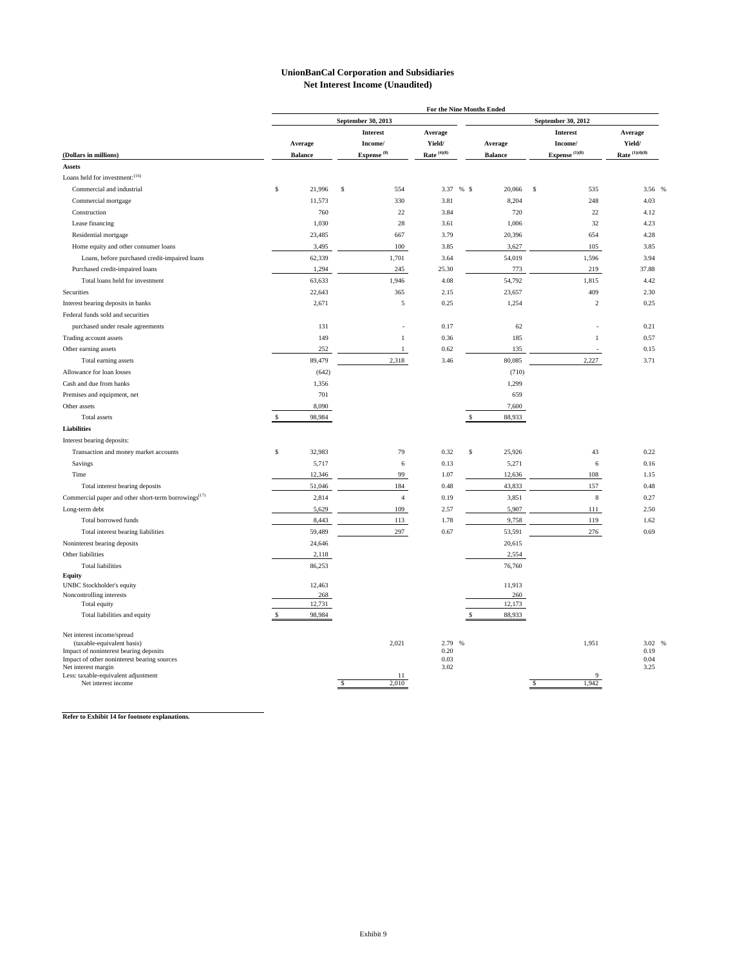## **UnionBanCal Corporation and Subsidiaries Net Interest Income (Unaudited)**

|                                                                      |              |                |   |                        | For the Nine Months Ended |           |                    |    |                  |                         |  |  |  |
|----------------------------------------------------------------------|--------------|----------------|---|------------------------|---------------------------|-----------|--------------------|----|------------------|-------------------------|--|--|--|
|                                                                      |              |                |   | September 30, 2013     |                           |           | September 30, 2012 |    |                  |                         |  |  |  |
|                                                                      |              |                |   | <b>Interest</b>        | Average                   |           |                    |    | <b>Interest</b>  | Average                 |  |  |  |
|                                                                      |              | Average        |   | <b>Income</b>          | Yield/                    |           | Average            |    | Income/          | Yield/                  |  |  |  |
| (Dollars in millions)                                                |              | <b>Balance</b> |   | Expense <sup>(8)</sup> | Rate $(4)(8)$             |           | <b>Balance</b>     |    | Expense $(1)(8)$ | <b>Rate</b> $(1)(4)(8)$ |  |  |  |
| <b>Assets</b>                                                        |              |                |   |                        |                           |           |                    |    |                  |                         |  |  |  |
| Loans held for investment: (16)                                      |              |                |   |                        |                           |           |                    |    |                  |                         |  |  |  |
| Commercial and industrial                                            | $\mathbb{S}$ | 21,996         | S | 554                    | 3.37                      | S<br>$\%$ | 20,066             | \$ | 535              | 3.56                    |  |  |  |
| Commercial mortgage                                                  |              | 11,573         |   | 330                    | 3.81                      |           | 8,204              |    | 248              | 4.03                    |  |  |  |
| Construction                                                         |              | 760            |   | 22                     | 3.84                      |           | 720                |    | 22               | 4.12                    |  |  |  |
| Lease financing                                                      |              | 1,030          |   | 28                     | 3.61                      |           | 1,006              |    | 32               | 4.23                    |  |  |  |
| Residential mortgage                                                 |              | 23,485         |   | 667                    | 3.79                      |           | 20,396             |    | 654              | 4.28                    |  |  |  |
| Home equity and other consumer loans                                 |              | 3,495          |   | 100                    | 3.85                      |           | 3,627              |    | 105              | 3.85                    |  |  |  |
| Loans, before purchased credit-impaired loans                        |              | 62,339         |   | 1,701                  | 3.64                      |           | 54,019             |    | 1,596            | 3.94                    |  |  |  |
| Purchased credit-impaired loans                                      |              | 1,294          |   | 245                    | 25.30                     |           | 773                |    | 219              | 37.88                   |  |  |  |
| Total loans held for investment                                      |              | 63,633         |   | 1,946                  | 4.08                      |           | 54,792             |    | 1,815            | 4.42                    |  |  |  |
| Securities                                                           |              | 22,643         |   | 365                    | 2.15                      |           | 23,657             |    | 409              | 2.30                    |  |  |  |
| Interest bearing deposits in banks                                   |              | 2,671          |   | 5                      | 0.25                      |           | 1,254              |    | $\overline{c}$   | 0.25                    |  |  |  |
| Federal funds sold and securities                                    |              |                |   |                        |                           |           |                    |    |                  |                         |  |  |  |
| purchased under resale agreements                                    |              | 131            |   |                        | 0.17                      |           | 62                 |    |                  | 0.21                    |  |  |  |
| Trading account assets                                               |              | 149            |   | $\mathbf{1}$           | 0.36                      |           | 185                |    | $\mathbf{1}$     | 0.57                    |  |  |  |
| Other earning assets                                                 |              | 252            |   | $\mathbf{1}$           | 0.62                      |           | 135                |    |                  | 0.15                    |  |  |  |
| Total earning assets                                                 |              | 89,479         |   | 2,318                  | 3.46                      |           | 80,085             |    | 2,227            | 3.71                    |  |  |  |
| Allowance for loan losses                                            |              | (642)          |   |                        |                           |           | (710)              |    |                  |                         |  |  |  |
| Cash and due from banks                                              |              | 1,356          |   |                        |                           |           | 1,299              |    |                  |                         |  |  |  |
|                                                                      |              | 701            |   |                        |                           |           | 659                |    |                  |                         |  |  |  |
| Premises and equipment, net                                          |              | 8,090          |   |                        |                           |           | 7,600              |    |                  |                         |  |  |  |
| Other assets<br><b>Total</b> assets                                  | S            | 98.984         |   |                        |                           | s         | 88,933             |    |                  |                         |  |  |  |
| <b>Liabilities</b>                                                   |              |                |   |                        |                           |           |                    |    |                  |                         |  |  |  |
|                                                                      |              |                |   |                        |                           |           |                    |    |                  |                         |  |  |  |
| Interest bearing deposits:                                           |              |                |   |                        |                           |           |                    |    |                  |                         |  |  |  |
| Transaction and money market accounts                                | s            | 32,983         |   | 79                     | 0.32                      | S         | 25,926             |    | 43               | 0.22                    |  |  |  |
| Savings                                                              |              | 5,717          |   | 6                      | 0.13                      |           | 5,271              |    | 6                | 0.16                    |  |  |  |
| Time                                                                 |              | 12,346         |   | 99                     | 1.07                      |           | 12,636             |    | 108              | 1.15                    |  |  |  |
| Total interest bearing deposits                                      |              | 51,046         |   | 184                    | 0.48                      |           | 43,833             |    | 157              | 0.48                    |  |  |  |
| Commercial paper and other short-term borrowings <sup>(17)</sup>     |              | 2,814          |   | $\overline{4}$         | 0.19                      |           | 3,851              |    | $\,$ 8 $\,$      | 0.27                    |  |  |  |
| Long-term debt                                                       |              | 5,629          |   | 109                    | 2.57                      |           | 5,907              |    | 111              | 2.50                    |  |  |  |
| Total borrowed funds                                                 |              | 8,443          |   | 113                    | 1.78                      |           | 9,758              |    | 119              | 1.62                    |  |  |  |
| Total interest bearing liabilities                                   |              | 59,489         |   | 297                    | 0.67                      |           | 53,591             |    | 276              | 0.69                    |  |  |  |
| Noninterest bearing deposits                                         |              | 24,646         |   |                        |                           |           | 20,615             |    |                  |                         |  |  |  |
| Other liabilities                                                    |              | 2,118          |   |                        |                           |           | 2,554              |    |                  |                         |  |  |  |
| <b>Total liabilities</b>                                             |              | 86,253         |   |                        |                           |           | 76,760             |    |                  |                         |  |  |  |
| Equity<br><b>UNBC</b> Stockholder's equity                           |              | 12,463         |   |                        |                           |           | 11,913             |    |                  |                         |  |  |  |
| Noncontrolling interests                                             |              | 268            |   |                        |                           |           | 260                |    |                  |                         |  |  |  |
| Total equity                                                         |              | 12,731         |   |                        |                           |           | 12,173             |    |                  |                         |  |  |  |
| Total liabilities and equity                                         |              | 98,984         |   |                        |                           | \$.       | 88,933             |    |                  |                         |  |  |  |
| Net interest income/spread                                           |              |                |   |                        |                           |           |                    |    |                  |                         |  |  |  |
| (taxable-equivalent basis)<br>Impact of noninterest bearing deposits |              |                |   | 2,021                  | 2.79 %<br>0.20            |           |                    |    | 1,951            | 3.02 %<br>0.19          |  |  |  |
| Impact of other noninterest bearing sources                          |              |                |   |                        | 0.03                      |           |                    |    |                  | 0.04                    |  |  |  |
| Net interest margin<br>Less: taxable-equivalent adjustment           |              |                |   | -11                    | 3.02                      |           |                    |    |                  | 3.25                    |  |  |  |
| Net interest income                                                  |              |                |   | 2,010                  |                           |           |                    |    | 1,942            |                         |  |  |  |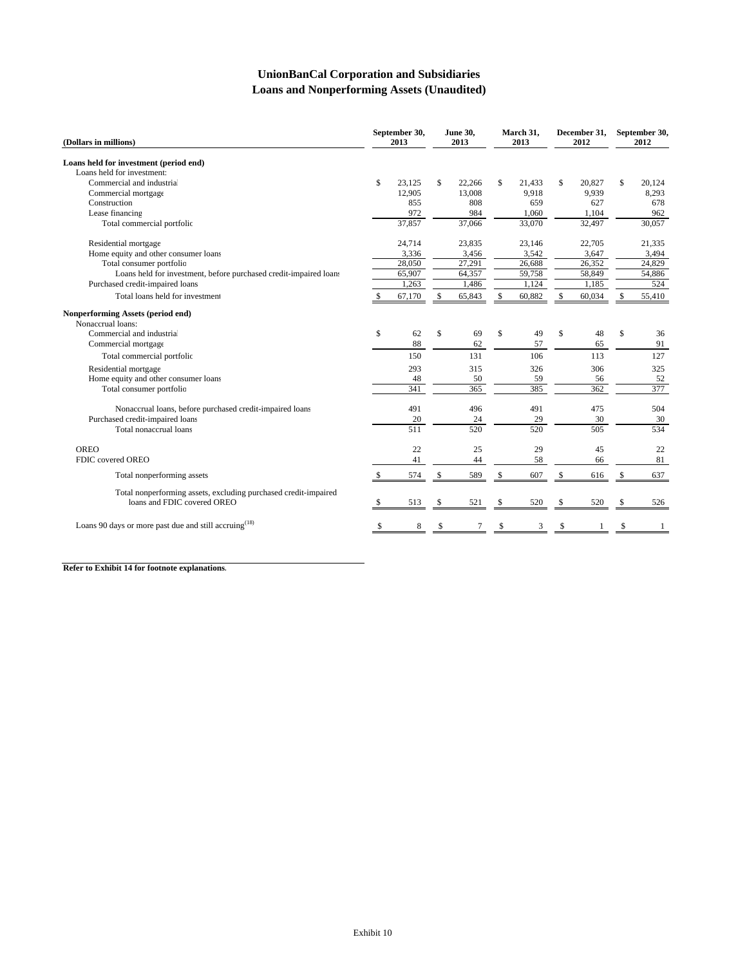# **UnionBanCal Corporation and Subsidiaries Loans and Nonperforming Assets (Unaudited)**

| (Dollars in millions)                                                                          | September 30,<br>2013 |               | <b>June 30,</b><br>2013 |               | March 31,<br>2013 |    | December 31,<br>2012 |    | September 30,<br>2012 |  |
|------------------------------------------------------------------------------------------------|-----------------------|---------------|-------------------------|---------------|-------------------|----|----------------------|----|-----------------------|--|
| Loans held for investment (period end)                                                         |                       |               |                         |               |                   |    |                      |    |                       |  |
| Loans held for investment:                                                                     |                       |               |                         |               |                   |    |                      |    |                       |  |
| Commercial and industrial                                                                      | \$<br>23.125          | \$            | 22.266                  | \$            | 21.433            | \$ | 20,827               | \$ | 20.124                |  |
| Commercial mortgage                                                                            | 12,905                |               | 13,008                  |               | 9,918             |    | 9,939                |    | 8,293                 |  |
| Construction                                                                                   | 855                   |               | 808                     |               | 659               |    | 627                  |    | 678                   |  |
| Lease financing                                                                                | 972                   |               | 984                     |               | 1,060             |    | 1.104                |    | 962                   |  |
| Total commercial portfolic                                                                     | 37,857                |               | 37,066                  |               | 33,070            |    | 32,497               |    | 30,057                |  |
| Residential mortgage                                                                           | 24,714                |               | 23,835                  |               | 23,146            |    | 22,705               |    | 21,335                |  |
| Home equity and other consumer loans                                                           | 3,336                 |               | 3,456                   |               | 3,542             |    | 3,647                |    | 3,494                 |  |
| Total consumer portfolio                                                                       | 28.050                |               | 27,291                  |               | 26,688            |    | 26,352               |    | 24.829                |  |
| Loans held for investment, before purchased credit-impaired loans                              | 65,907                |               | 64,357                  |               | 59,758            |    | 58,849               |    | 54,886                |  |
| Purchased credit-impaired loans                                                                | 1,263                 |               | 1,486                   |               | 1,124             |    | 1,185                |    | 524                   |  |
| Total loans held for investment                                                                | 67,170                | \$            | 65,843                  | \$            | 60,882            | \$ | 60,034               | \$ | 55,410                |  |
| Nonperforming Assets (period end)<br>Nonaccrual loans:                                         |                       |               |                         |               |                   |    |                      |    |                       |  |
| Commercial and industrial                                                                      | \$<br>62              | \$            | 69                      | \$            | 49                | \$ | 48                   | \$ | 36                    |  |
| Commercial mortgage                                                                            | 88                    |               | 62                      |               | 57                |    | 65                   |    | 91                    |  |
| Total commercial portfolic                                                                     | 150                   |               | 131                     |               | 106               |    | 113                  |    | 127                   |  |
| Residential mortgage                                                                           | 293                   |               | 315                     |               | 326               |    | 306                  |    | 325                   |  |
| Home equity and other consumer loans                                                           | 48                    |               | 50                      |               | 59                |    | 56                   |    | 52                    |  |
| Total consumer portfolio                                                                       | 341                   |               | 365                     |               | 385               |    | 362                  |    | 377                   |  |
| Nonaccrual loans, before purchased credit-impaired loans                                       | 491                   |               | 496                     |               | 491               |    | 475                  |    | 504                   |  |
| Purchased credit-impaired loans                                                                | 20                    |               | 24                      |               | 29                |    | 30                   |    | 30                    |  |
| Total nonaccrual loans                                                                         | 511                   |               | 520                     |               | 520               |    | 505                  |    | 534                   |  |
| <b>OREO</b>                                                                                    | 22                    |               | 25                      |               | 29                |    | 45                   |    | 22                    |  |
| FDIC covered OREO                                                                              | 41                    |               | 44                      |               | 58                |    | 66                   |    | 81                    |  |
| Total nonperforming assets                                                                     | 574                   | <sup>\$</sup> | 589                     | \$            | 607               | \$ | 616                  |    | 637                   |  |
| Total nonperforming assets, excluding purchased credit-impaired<br>loans and FDIC covered OREO | 513                   | S             | 521                     | S             | 520               | S  | 520                  |    | 526                   |  |
| Loans 90 days or more past due and still accruing <sup>(18)</sup>                              | \$<br>8               | \$            | 7                       | $\mathcal{S}$ | 3                 | \$ |                      |    |                       |  |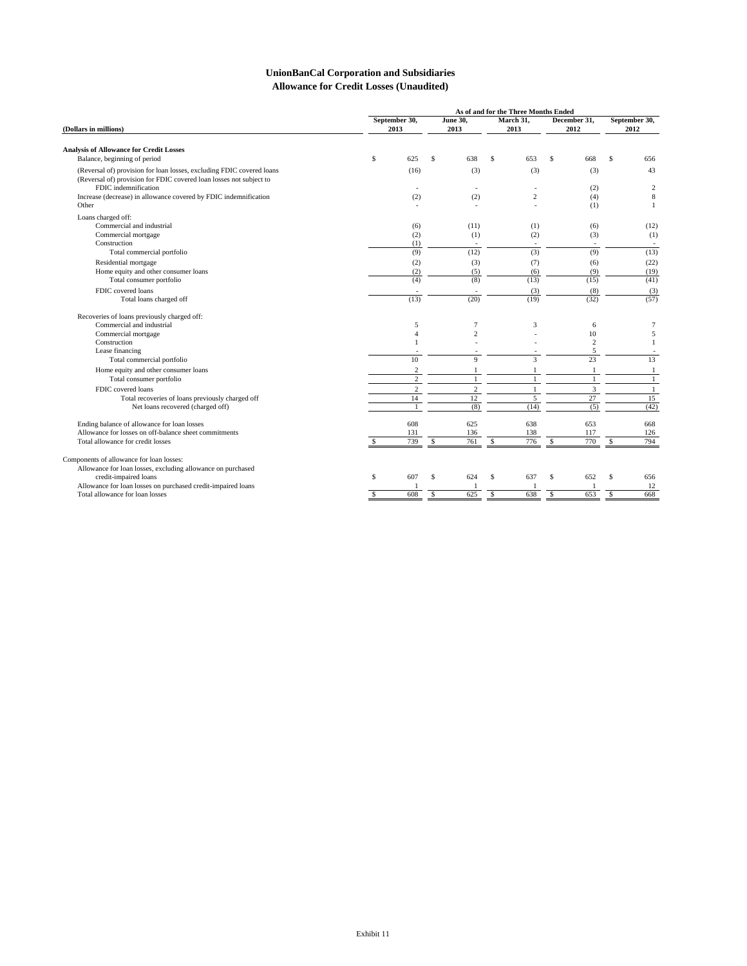## **UnionBanCal Corporation and Subsidiaries Allowance for Credit Losses (Unaudited)**

|                                                                                                                                                                      | As of and for the Three Months Ended |                |               |                 |                         |                |                         |                |                       |                          |  |  |
|----------------------------------------------------------------------------------------------------------------------------------------------------------------------|--------------------------------------|----------------|---------------|-----------------|-------------------------|----------------|-------------------------|----------------|-----------------------|--------------------------|--|--|
|                                                                                                                                                                      |                                      | September 30,  |               | <b>June 30,</b> | March 31,               |                | December 31.<br>2012    |                | September 30,<br>2012 |                          |  |  |
| (Dollars in millions)                                                                                                                                                | 2013                                 |                | 2013          |                 | 2013                    |                |                         |                |                       |                          |  |  |
| <b>Analysis of Allowance for Credit Losses</b>                                                                                                                       |                                      |                |               |                 |                         |                |                         |                |                       |                          |  |  |
| Balance, beginning of period                                                                                                                                         | \$                                   | 625            | Ś             | 638             | \$                      | 653            | \$                      | 668            | Ś                     | 656                      |  |  |
| (Reversal of) provision for loan losses, excluding FDIC covered loans<br>(Reversal of) provision for FDIC covered loan losses not subject to<br>FDIC indemnification |                                      | (16)           |               | (3)             |                         | (3)            |                         | (3)<br>(2)     |                       | 43<br>$\overline{c}$     |  |  |
| Increase (decrease) in allowance covered by FDIC indemnification<br>Other                                                                                            |                                      | (2)            |               | (2)             |                         | $\overline{c}$ |                         | (4)<br>(1)     |                       | 8<br>$\mathbf{1}$        |  |  |
| Loans charged off:                                                                                                                                                   |                                      |                |               |                 |                         |                |                         |                |                       |                          |  |  |
| Commercial and industrial                                                                                                                                            |                                      | (6)            |               | (11)            |                         | (1)            |                         | (6)            |                       | (12)                     |  |  |
| Commercial mortgage                                                                                                                                                  |                                      | (2)            |               | (1)             |                         | (2)            |                         | (3)            |                       | (1)                      |  |  |
| Construction                                                                                                                                                         |                                      | (1)            |               |                 |                         |                |                         |                |                       | $\overline{\phantom{a}}$ |  |  |
| Total commercial portfolio                                                                                                                                           |                                      | (9)            |               | (12)            |                         | (3)            |                         | (9)            |                       | (13)                     |  |  |
| Residential mortgage                                                                                                                                                 |                                      | (2)            |               | (3)             |                         | (7)            |                         | (6)            |                       | (22)                     |  |  |
| Home equity and other consumer loans                                                                                                                                 |                                      | (2)            |               | (5)             |                         | (6)            |                         | (9)            |                       | (19)                     |  |  |
| Total consumer portfolio                                                                                                                                             |                                      | (4)            |               | (8)             |                         | (13)           |                         | (15)           |                       | (41)                     |  |  |
| FDIC covered loans                                                                                                                                                   |                                      |                |               |                 |                         | (3)            |                         | (8)            |                       | (3)                      |  |  |
| Total loans charged off                                                                                                                                              |                                      | (13)           |               | (20)            |                         | (19)           |                         | (32)           |                       | (57)                     |  |  |
| Recoveries of loans previously charged off:                                                                                                                          |                                      |                |               |                 |                         |                |                         |                |                       |                          |  |  |
| Commercial and industrial                                                                                                                                            |                                      | 5              |               | $\overline{7}$  |                         | 3              |                         | 6              |                       | $\overline{7}$           |  |  |
| Commercial mortgage                                                                                                                                                  |                                      | $\overline{4}$ |               | $\overline{c}$  |                         |                |                         | 10             |                       | 5                        |  |  |
| Construction                                                                                                                                                         |                                      | $\overline{1}$ |               |                 |                         |                |                         | $\overline{c}$ |                       | $\mathbf{1}$             |  |  |
| Lease financing                                                                                                                                                      |                                      |                |               |                 |                         |                |                         | 5              |                       |                          |  |  |
| Total commercial portfolio                                                                                                                                           |                                      | 10             |               | $\overline{9}$  |                         | 3              |                         | 23             |                       | 13                       |  |  |
| Home equity and other consumer loans                                                                                                                                 |                                      | $\overline{c}$ |               |                 |                         |                |                         |                |                       |                          |  |  |
| Total consumer portfolio                                                                                                                                             |                                      | $\overline{c}$ |               | $\mathbf{1}$    |                         |                |                         | $\mathbf{1}$   |                       | -1                       |  |  |
| FDIC covered loans                                                                                                                                                   |                                      | 2              |               | $\overline{c}$  |                         |                |                         | $\overline{3}$ |                       | -1                       |  |  |
| Total recoveries of loans previously charged off                                                                                                                     |                                      | 14             |               | 12              |                         | $\overline{5}$ |                         | 27             |                       | 15                       |  |  |
| Net loans recovered (charged off)                                                                                                                                    |                                      |                |               | (8)             |                         | (14)           |                         | (5)            |                       | (42)                     |  |  |
| Ending balance of allowance for loan losses                                                                                                                          |                                      | 608            |               | 625             |                         | 638            |                         | 653            |                       | 668                      |  |  |
| Allowance for losses on off-balance sheet commitments                                                                                                                |                                      | 131            |               | 136             |                         | 138            |                         | 117            |                       | 126                      |  |  |
| Total allowance for credit losses                                                                                                                                    | \$                                   | 739            | $\mathcal{S}$ | 761             | $\overline{\mathbf{s}}$ | 776            | $\overline{\mathbf{s}}$ | 770            | $\mathcal{S}$         | 794                      |  |  |
| Components of allowance for loan losses:                                                                                                                             |                                      |                |               |                 |                         |                |                         |                |                       |                          |  |  |
| Allowance for loan losses, excluding allowance on purchased                                                                                                          |                                      |                |               |                 |                         |                |                         |                |                       |                          |  |  |
| credit-impaired loans                                                                                                                                                | \$                                   | 607            | S             | 624             | \$                      | 637            | S                       | 652            | S                     | 656                      |  |  |
| Allowance for loan losses on purchased credit-impaired loans                                                                                                         |                                      |                |               |                 |                         |                |                         |                |                       | 12                       |  |  |
| Total allowance for loan losses                                                                                                                                      | S                                    | 608            | \$            | 625             | S                       | 638            | S                       | 653            | S                     | 668                      |  |  |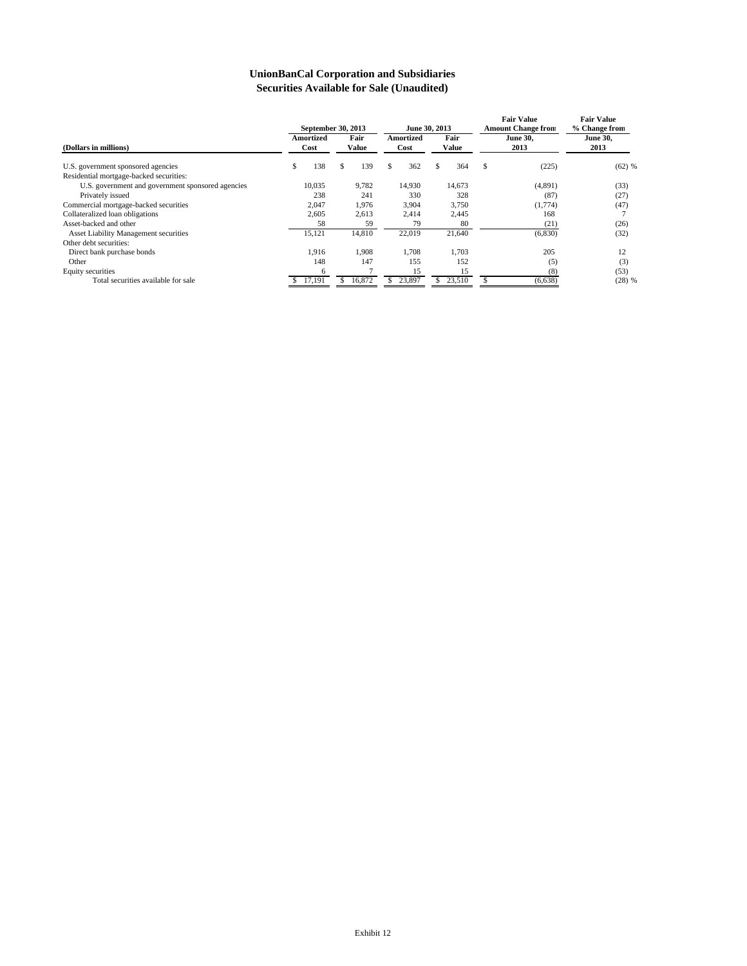# **UnionBanCal Corporation and Subsidiaries Securities Available for Sale (Unaudited)**

| (Dollars in millions)<br>U.S. government sponsored agencies |    | September 30, 2013 |    |               |   | June 30, 2013     |    |                      |   | <b>Fair Value</b><br><b>Amount Change from</b> | <b>Fair Value</b><br>% Change from |  |  |
|-------------------------------------------------------------|----|--------------------|----|---------------|---|-------------------|----|----------------------|---|------------------------------------------------|------------------------------------|--|--|
|                                                             |    | Amortized<br>Cost  |    | Fair<br>Value |   | Amortized<br>Cost |    | Fair<br><b>Value</b> |   | <b>June 30.</b>                                | <b>June 30.</b>                    |  |  |
|                                                             |    |                    |    |               |   |                   |    |                      |   | 2013                                           | 2013                               |  |  |
|                                                             | \$ | 138                | \$ | 139           | S | 362               | S. | 364                  | S | (225)                                          | $(62)$ %                           |  |  |
| Residential mortgage-backed securities:                     |    |                    |    |               |   |                   |    |                      |   |                                                |                                    |  |  |
| U.S. government and government sponsored agencies           |    | 10,035             |    | 9,782         |   | 14,930            |    | 14,673               |   | (4,891)                                        | (33)                               |  |  |
| Privately issued                                            |    | 238                |    | 241           |   | 330               |    | 328                  |   | (87)                                           | (27)                               |  |  |
| Commercial mortgage-backed securities                       |    | 2,047              |    | 1,976         |   | 3,904             |    | 3,750                |   | (1,774)                                        | (47)                               |  |  |
| Collateralized loan obligations                             |    | 2,605              |    | 2,613         |   | 2,414             |    | 2,445                |   | 168                                            |                                    |  |  |
| Asset-backed and other                                      |    | 58                 |    | 59            |   | 79                |    | 80                   |   | (21)                                           | (26)                               |  |  |
| Asset Liability Management securities                       |    | 15,121             |    | 14,810        |   | 22,019            |    | 21,640               |   | (6,830)                                        | (32)                               |  |  |
| Other debt securities:                                      |    |                    |    |               |   |                   |    |                      |   |                                                |                                    |  |  |
| Direct bank purchase bonds                                  |    | 1,916              |    | 1,908         |   | 1,708             |    | 1,703                |   | 205                                            | 12                                 |  |  |
| Other                                                       |    | 148                |    | 147           |   | 155               |    | 152                  |   | (5)                                            | (3)                                |  |  |
| Equity securities                                           |    | 6                  |    |               |   | 15                |    | 15                   |   | (8)                                            | (53)                               |  |  |
| Total securities available for sale                         |    | 17,191             |    | 16,872        |   | 23,897            |    | 23,510               |   | (6,638)                                        | $(28)$ %                           |  |  |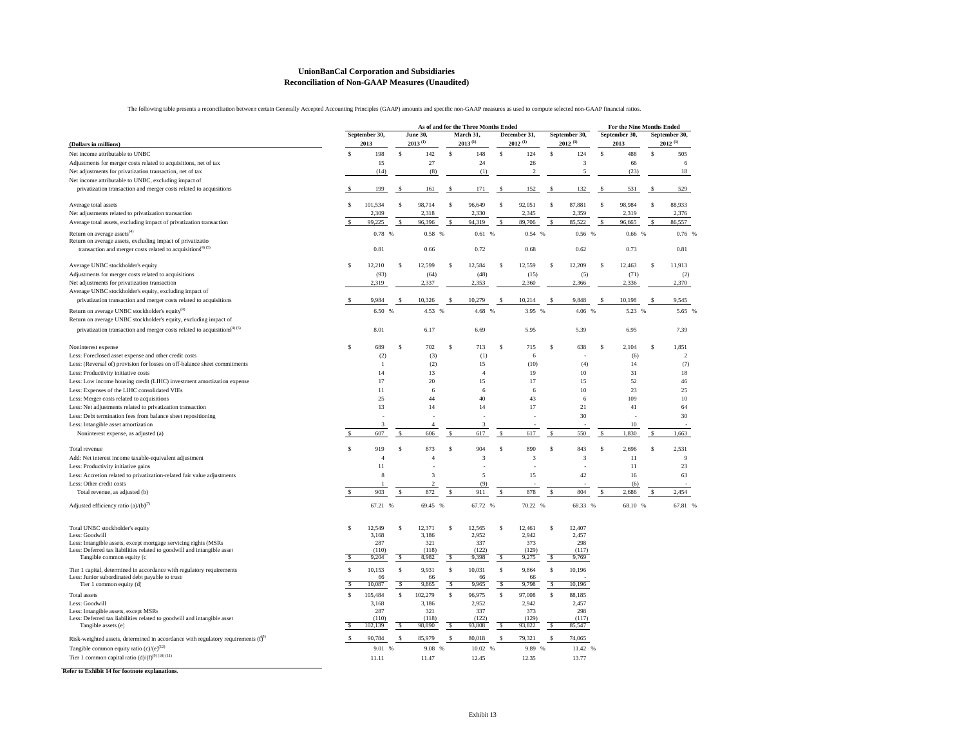#### **UnionBanCal Corporation and Subsidiaries Reconciliation of Non-GAAP Measures (Unaudited)**

The following table presents a reconciliation between certain Generally Accepted Accounting Principles (GAAP) amounts and specific non-GAAP measures as used to compute selected non-GAAP financial ratios.

|                                                                                                       | September 30, |                | June 30,    |                | As of and for the Three Months Ended<br>March 31, |                | December 31,       |                       |     | September 30,         | September 30, |              | For the Nine Months Ended<br>September 30,<br>$2012^{(1)}$ |                |
|-------------------------------------------------------------------------------------------------------|---------------|----------------|-------------|----------------|---------------------------------------------------|----------------|--------------------|-----------------------|-----|-----------------------|---------------|--------------|------------------------------------------------------------|----------------|
| (Dollars in millions)                                                                                 |               | 2013           |             | $2013^{(1)}$   |                                                   | $2013^{(1)}$   |                    | $2012$ <sup>(1)</sup> |     | $2012$ <sup>(1)</sup> |               | 2013         |                                                            |                |
| Net income attributable to UNBC                                                                       | \$.           | 198            | s           | 142            | s                                                 | 148            | \$                 | 124                   | S   | 124                   | s             | 488          | s                                                          | 505            |
| Adjustments for merger costs related to acquisitions, net of tax                                      |               | 15             |             | 27             |                                                   | 24             |                    | 26                    |     | $\overline{3}$        |               | 66           |                                                            | 6              |
| Net adjustments for privatization transaction, net of tax                                             |               | (14)           |             | (8)            |                                                   | (1)            |                    | $\overline{c}$        |     | 5                     |               | (23)         |                                                            | 18             |
| Net income attributable to UNBC, excluding impact of                                                  |               |                |             |                |                                                   |                |                    |                       |     |                       |               |              |                                                            |                |
| privatization transaction and merger costs related to acquisitions                                    |               | 199            |             | 161            |                                                   | 171            |                    | 152                   |     | 132                   |               | 531          |                                                            | 529            |
| Average total assets                                                                                  | \$.           | 101.534        | s           | 98,714         | \$.                                               | 96,649         | $\mathbf{\hat{S}}$ | 92.051                | s   | 87,881                | s             | 98.984       | $\mathcal{S}$                                              | 88,933         |
| Net adjustments related to privatization transaction                                                  |               | 2,309          |             | 2,318          |                                                   | 2,330          |                    | 2,345                 |     | 2,359                 |               | 2,319        |                                                            | 2,376          |
| Average total assets, excluding impact of privatization transaction                                   | S             | 99,225         | S           | 96,396         | <sup>\$</sup>                                     | 94,319         | \$                 | 89,706                | S   | 85,522                | S             | 96,665       |                                                            | 86,557         |
| Return on average assets <sup>(4)</sup>                                                               |               | 0.78 %         |             | 0.58 %         |                                                   | 0.61%          |                    | 0.54 %                |     | 0.56 %                |               | 0.66%        |                                                            | 0.76%          |
| Return on average assets, excluding impact of privatization                                           |               |                |             |                |                                                   |                |                    |                       |     |                       |               |              |                                                            |                |
| transaction and merger costs related to acquisitions <sup>(4)(5)</sup>                                |               | 0.81           |             | 0.66           |                                                   | 0.72           |                    | 0.68                  |     | 0.62                  |               | 0.73         |                                                            | 0.81           |
|                                                                                                       |               |                |             |                |                                                   |                |                    |                       |     |                       |               |              |                                                            |                |
| Average UNBC stockholder's equity                                                                     | \$.           | 12,210         | \$.         | 12,599         | <sup>\$</sup>                                     | 12,584         | \$.                | 12.559                | \$. | 12,209                | <sup>\$</sup> | 12,463       | S                                                          | 11,913         |
| Adjustments for merger costs related to acquisitions                                                  |               | (93)           |             | (64)           |                                                   | (48)           |                    | (15)                  |     | (5)                   |               | (71)         |                                                            | (2)            |
| Net adjustments for privatization transaction                                                         |               | 2,319          |             | 2,337          |                                                   | 2,353          |                    | 2,360                 |     | 2,366                 |               | 2,336        |                                                            | 2,370          |
| Average UNBC stockholder's equity, excluding impact of                                                |               |                |             |                |                                                   |                |                    |                       |     |                       |               |              |                                                            |                |
| privatization transaction and merger costs related to acquisitions                                    |               | 9.984          |             | 10.326         |                                                   | 10.279         |                    | 10.214                |     | 9.848                 |               | 10.198       |                                                            | 9,545          |
| Return on average UNBC stockholder's equity <sup>(4)</sup>                                            |               | 6.50<br>$Q_0'$ |             | 4.53           | 96                                                | 4.68           |                    | 3.95<br>96            |     | 4.06                  |               | 5.23         |                                                            | 5.65           |
| Return on average UNBC stockholder's equity, excluding impact of                                      |               |                |             |                |                                                   |                |                    |                       |     |                       |               |              |                                                            |                |
| privatization transaction and merger costs related to acquisitions <sup>(4)(5)</sup>                  |               | 8.01           |             | 6.17           |                                                   | 6.69           |                    | 5.95                  |     | 5.39                  |               | 6.95         |                                                            | 7.39           |
|                                                                                                       |               |                |             |                |                                                   |                |                    |                       |     |                       |               |              |                                                            |                |
| Noninterest expense                                                                                   | S             | 689            | s           | 702            | \$.                                               | 713            | $\mathbf{\hat{S}}$ | 715                   | s   | 638                   | s             | 2,104        | s                                                          | 1,851          |
| Less: Foreclosed asset expense and other credit costs                                                 |               | (2)            |             | (3)            |                                                   | (1)            |                    | 6                     |     |                       |               | (6)          |                                                            | $\overline{2}$ |
| Less: (Reversal of) provision for losses on off-balance sheet commitments                             |               | -1             |             | (2)            |                                                   | 15             |                    | (10)                  |     | (4)                   |               | 14           |                                                            | (7)            |
| Less: Productivity initiative costs                                                                   |               | 14             |             | 13             |                                                   | $\overline{4}$ |                    | 19                    |     | 10                    |               | 31           |                                                            | 18             |
| Less: Low income housing credit (LIHC) investment amortization expense                                |               | 17             |             | 20             |                                                   | 15             |                    | 17                    |     | 15                    |               | 52           |                                                            | 46             |
| Less: Expenses of the LIHC consolidated VIEs                                                          |               | 11             |             | 6              |                                                   | 6              |                    | 6                     |     | 10                    |               | 23           |                                                            | 25             |
| Less: Merger costs related to acquisitions                                                            |               | 25             |             | 44             |                                                   | 40             |                    | 43                    |     | 6                     |               | 109          |                                                            | 10             |
| Less: Net adjustments related to privatization transaction                                            |               | 13             |             | 14             |                                                   | 14             |                    | 17                    |     | 21                    |               | 41           |                                                            | 64             |
| Less: Debt termination fees from balance sheet repositioning                                          |               |                |             |                |                                                   |                |                    |                       |     | 30                    |               |              |                                                            | 30             |
| Less: Intangible asset amortization                                                                   |               | 3              |             | $\overline{4}$ |                                                   |                |                    |                       |     |                       |               | 10           |                                                            |                |
| Noninterest expense, as adjusted (a)                                                                  |               | 607            |             | 606            | <sup>\$</sup>                                     | 617            | \$                 | 617                   | S   | 550                   |               | 1,830        |                                                            | 1,663          |
|                                                                                                       |               |                |             |                |                                                   |                |                    |                       |     |                       |               |              |                                                            |                |
| Total revenue                                                                                         | $\mathbf{s}$  | 919            | \$          | 873            | <sup>\$</sup>                                     | 904            | \$                 | 890                   | S   | 843                   | s             | 2,696        | s                                                          | 2,531          |
| Add: Net interest income taxable-equivalent adjustment                                                |               | $\overline{4}$ |             | $\overline{4}$ |                                                   | $\sqrt{3}$     |                    | $\sqrt{3}$            |     | $\mathbf{3}$          |               | 11           |                                                            | $\overline{9}$ |
| Less: Productivity initiative gains                                                                   |               | 11             |             |                |                                                   |                |                    |                       |     |                       |               | 11           |                                                            | 23             |
| Less: Accretion related to privatization-related fair value adjustments                               |               | 8              |             | 3              |                                                   | 5              |                    | 15                    |     | 42                    |               | 16           |                                                            | 63             |
| Less: Other credit costs<br>Total revenue, as adjusted (b)                                            | s             | 903            | S           | 872            | <sup>\$</sup>                                     | (9)<br>911     | \$                 | 878                   | S   | 804                   | S             | (6)<br>2,686 | -S                                                         | 2,454          |
|                                                                                                       |               |                |             |                |                                                   |                |                    |                       |     |                       |               |              |                                                            |                |
| Adjusted efficiency ratio $(a)/(b)^{(7)}$                                                             |               | 67.21<br>96    |             | 69.45 %        |                                                   | 67.72<br>96    |                    | 70.22 %               |     | 68.33 %               |               | 68.10 %      |                                                            | 67.81 %        |
| Total UNBC stockholder's equity                                                                       | S             | 12.549         | S           | 12.371         | \$.                                               | 12,565         | \$.                | 12,461                | S   | 12,407                |               |              |                                                            |                |
| Less: Goodwill                                                                                        |               | 3,168          |             | 3,186          |                                                   | 2,952          |                    | 2,942                 |     | 2,457                 |               |              |                                                            |                |
| Less: Intangible assets, except mortgage servicing rights (MSRs                                       |               | 287            |             | 321            |                                                   | 337            |                    | 373                   |     | 298                   |               |              |                                                            |                |
| Less: Deferred tax liabilities related to goodwill and intangible asset<br>Tangible common equity (c) |               | (110)<br>9,204 | S           | (118)<br>8,982 | S                                                 | (122)<br>9,398 | S                  | (129)<br>9,275        |     | (117)<br>9,769        |               |              |                                                            |                |
|                                                                                                       |               |                |             |                |                                                   |                |                    |                       |     |                       |               |              |                                                            |                |
| Tier 1 capital, determined in accordance with regulatory requirements                                 | \$            | 10,153         | $\mathbb S$ | 9,931          | $\mathbb S$                                       | 10,031         | \$                 | 9,864                 | s   | 10,196                |               |              |                                                            |                |
| Less: Junior subordinated debt payable to trust:                                                      |               | 66             |             | 66             |                                                   | 66             |                    | 66                    |     |                       |               |              |                                                            |                |
| Tier 1 common equity (d)                                                                              |               | 10,087         | <b>S</b>    | 9,865          | <b>S</b>                                          | 9,965          | \$                 | 9,798                 | -S  | 10,196                |               |              |                                                            |                |
| Total assets                                                                                          | $\mathbf{s}$  | 105,484        | $\mathbb S$ | 102,279        | $\mathbb S$                                       | 96,975         | \$                 | 97,008                | s   | 88,185                |               |              |                                                            |                |
| Less: Goodwill                                                                                        |               | 3,168          |             | 3,186          |                                                   | 2,952          |                    | 2,942                 |     | 2,457                 |               |              |                                                            |                |
| Less: Intangible assets, except MSRs                                                                  |               | 287<br>(110)   |             | 321<br>(118)   |                                                   | 337<br>(122)   |                    | 373<br>(129)          |     | 298<br>(117)          |               |              |                                                            |                |
| Less: Deferred tax liabilities related to goodwill and intangible asset<br>Tangible assets (e)        |               | 102,139        |             | 98,890         | -S                                                | 93,808         |                    | 93,822                |     | 85,547                |               |              |                                                            |                |
| Risk-weighted assets, determined in accordance with regulatory requirements $(f)$ <sup>8)</sup>       | s             | 90,784         | S           | 85,979         | <sup>\$</sup>                                     | 80,018         | \$                 | 79,321                | S   | 74,065                |               |              |                                                            |                |
| Tangible common equity ratio $(c)/(e)^{(12)}$                                                         |               | 9.01<br>$\%$   |             | 9.08           | %                                                 | 10.02<br>$\%$  |                    | 9.89<br>%             |     | 11.42 %               |               |              |                                                            |                |
| Tier 1 common capital ratio $(d)/(f)^{(9)(10)(11)}$                                                   |               | 11.11          |             | 11.47          |                                                   | 12.45          |                    | 12.35                 |     | 13.77                 |               |              |                                                            |                |